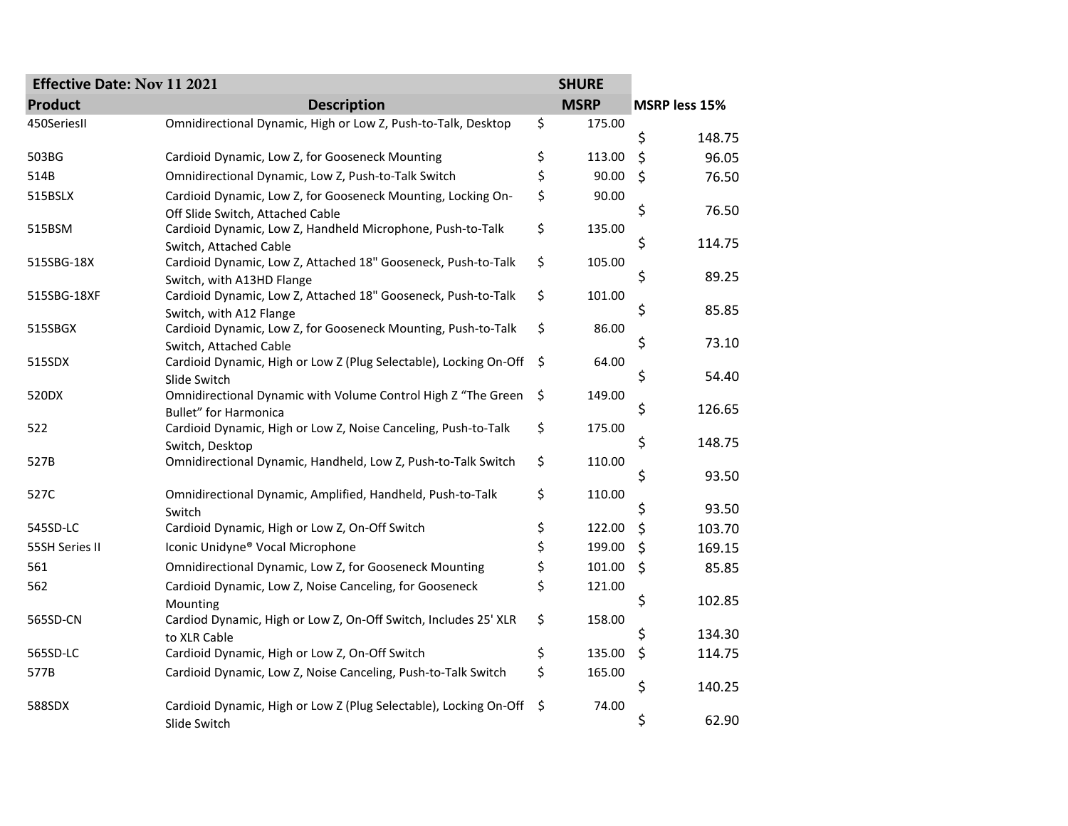| <b>Effective Date: Nov 11 2021</b> |                                                                                          | <b>SHURE</b> |               |
|------------------------------------|------------------------------------------------------------------------------------------|--------------|---------------|
| <b>Product</b>                     | <b>Description</b>                                                                       | <b>MSRP</b>  | MSRP less 15% |
| 450SeriesII                        | Omnidirectional Dynamic, High or Low Z, Push-to-Talk, Desktop                            | \$<br>175.00 |               |
|                                    |                                                                                          |              | \$<br>148.75  |
| 503BG                              | Cardioid Dynamic, Low Z, for Gooseneck Mounting                                          | \$<br>113.00 | \$<br>96.05   |
| 514B                               | Omnidirectional Dynamic, Low Z, Push-to-Talk Switch                                      | \$<br>90.00  | \$<br>76.50   |
| 515BSLX                            | Cardioid Dynamic, Low Z, for Gooseneck Mounting, Locking On-                             | \$<br>90.00  |               |
|                                    | Off Slide Switch, Attached Cable                                                         |              | \$<br>76.50   |
| 515BSM                             | Cardioid Dynamic, Low Z, Handheld Microphone, Push-to-Talk                               | \$<br>135.00 |               |
|                                    | Switch, Attached Cable                                                                   |              | \$<br>114.75  |
| 515SBG-18X                         | Cardioid Dynamic, Low Z, Attached 18" Gooseneck, Push-to-Talk                            | \$<br>105.00 | 89.25         |
|                                    | Switch, with A13HD Flange                                                                |              | \$            |
| 515SBG-18XF                        | Cardioid Dynamic, Low Z, Attached 18" Gooseneck, Push-to-Talk                            | \$<br>101.00 | \$<br>85.85   |
| 515SBGX                            | Switch, with A12 Flange<br>Cardioid Dynamic, Low Z, for Gooseneck Mounting, Push-to-Talk | \$<br>86.00  |               |
|                                    | Switch, Attached Cable                                                                   |              | \$<br>73.10   |
| 515SDX                             | Cardioid Dynamic, High or Low Z (Plug Selectable), Locking On-Off                        | \$<br>64.00  |               |
|                                    | Slide Switch                                                                             |              | \$<br>54.40   |
| 520DX                              | Omnidirectional Dynamic with Volume Control High Z "The Green                            | \$<br>149.00 |               |
|                                    | <b>Bullet"</b> for Harmonica                                                             |              | \$<br>126.65  |
| 522                                | Cardioid Dynamic, High or Low Z, Noise Canceling, Push-to-Talk                           | \$<br>175.00 |               |
|                                    | Switch, Desktop                                                                          |              | \$<br>148.75  |
| 527B                               | Omnidirectional Dynamic, Handheld, Low Z, Push-to-Talk Switch                            | \$<br>110.00 |               |
|                                    |                                                                                          |              | \$<br>93.50   |
| 527C                               | Omnidirectional Dynamic, Amplified, Handheld, Push-to-Talk                               | \$<br>110.00 |               |
|                                    | Switch                                                                                   |              | \$<br>93.50   |
| 545SD-LC                           | Cardioid Dynamic, High or Low Z, On-Off Switch                                           | \$<br>122.00 | \$<br>103.70  |
| 55SH Series II                     | Iconic Unidyne® Vocal Microphone                                                         | \$<br>199.00 | \$<br>169.15  |
| 561                                | Omnidirectional Dynamic, Low Z, for Gooseneck Mounting                                   | \$<br>101.00 | \$<br>85.85   |
| 562                                | Cardioid Dynamic, Low Z, Noise Canceling, for Gooseneck                                  | \$<br>121.00 |               |
|                                    | Mounting                                                                                 |              | \$<br>102.85  |
| 565SD-CN                           | Cardiod Dynamic, High or Low Z, On-Off Switch, Includes 25' XLR                          | \$<br>158.00 |               |
|                                    | to XLR Cable                                                                             |              | \$<br>134.30  |
| 565SD-LC                           | Cardioid Dynamic, High or Low Z, On-Off Switch                                           | \$<br>135.00 | \$<br>114.75  |
| 577B                               | Cardioid Dynamic, Low Z, Noise Canceling, Push-to-Talk Switch                            | \$<br>165.00 |               |
|                                    |                                                                                          |              | \$<br>140.25  |
| 588SDX                             | Cardioid Dynamic, High or Low Z (Plug Selectable), Locking On-Off                        | \$<br>74.00  | 62.90         |
|                                    | Slide Switch                                                                             |              | \$            |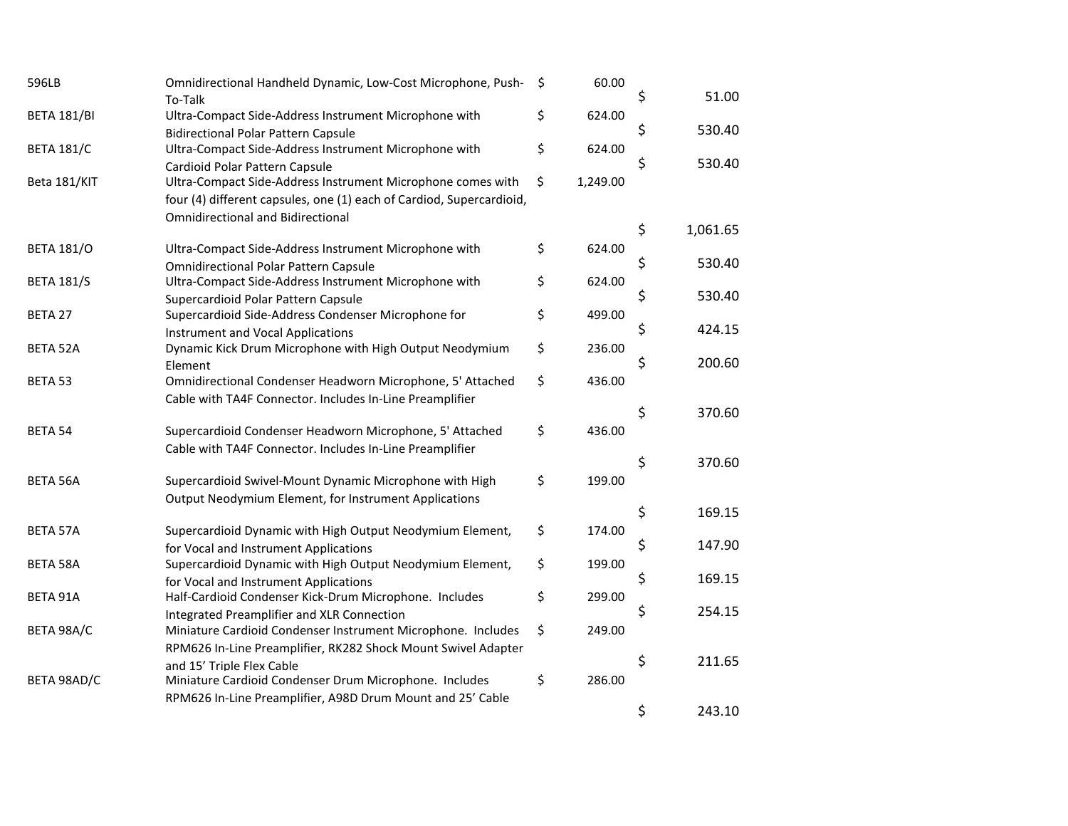| 596LB              | Omnidirectional Handheld Dynamic, Low-Cost Microphone, Push-<br>To-Talk                            | \$<br>60.00    | \$<br>51.00    |
|--------------------|----------------------------------------------------------------------------------------------------|----------------|----------------|
| <b>BETA 181/BI</b> | Ultra-Compact Side-Address Instrument Microphone with                                              | \$<br>624.00   |                |
|                    | <b>Bidirectional Polar Pattern Capsule</b>                                                         |                | \$<br>530.40   |
| <b>BETA 181/C</b>  | Ultra-Compact Side-Address Instrument Microphone with                                              | \$<br>624.00   | 530.40         |
|                    | Cardioid Polar Pattern Capsule                                                                     |                | \$             |
| Beta 181/KIT       | Ultra-Compact Side-Address Instrument Microphone comes with                                        | \$<br>1,249.00 |                |
|                    | four (4) different capsules, one (1) each of Cardiod, Supercardioid,                               |                |                |
|                    | <b>Omnidirectional and Bidirectional</b>                                                           |                | \$<br>1,061.65 |
| <b>BETA 181/O</b>  | Ultra-Compact Side-Address Instrument Microphone with                                              | \$<br>624.00   |                |
|                    | <b>Omnidirectional Polar Pattern Capsule</b>                                                       |                | \$<br>530.40   |
| <b>BETA 181/S</b>  | Ultra-Compact Side-Address Instrument Microphone with                                              | \$<br>624.00   |                |
|                    | Supercardioid Polar Pattern Capsule                                                                |                | \$<br>530.40   |
| BETA 27            | Supercardioid Side-Address Condenser Microphone for                                                | \$<br>499.00   |                |
|                    | <b>Instrument and Vocal Applications</b>                                                           |                | \$<br>424.15   |
| <b>BETA 52A</b>    | Dynamic Kick Drum Microphone with High Output Neodymium                                            | \$<br>236.00   |                |
|                    | Element                                                                                            |                | \$<br>200.60   |
| BETA 53            | Omnidirectional Condenser Headworn Microphone, 5' Attached                                         | \$<br>436.00   |                |
|                    | Cable with TA4F Connector. Includes In-Line Preamplifier                                           |                |                |
|                    |                                                                                                    |                | \$<br>370.60   |
| BETA 54            | Supercardioid Condenser Headworn Microphone, 5' Attached                                           | \$<br>436.00   |                |
|                    | Cable with TA4F Connector. Includes In-Line Preamplifier                                           |                |                |
|                    |                                                                                                    |                | \$<br>370.60   |
| <b>BETA 56A</b>    | Supercardioid Swivel-Mount Dynamic Microphone with High                                            | \$<br>199.00   |                |
|                    | Output Neodymium Element, for Instrument Applications                                              |                | \$<br>169.15   |
|                    |                                                                                                    | \$<br>174.00   |                |
| BETA 57A           | Supercardioid Dynamic with High Output Neodymium Element,                                          |                | \$<br>147.90   |
| <b>BETA 58A</b>    | for Vocal and Instrument Applications<br>Supercardioid Dynamic with High Output Neodymium Element, | \$<br>199.00   |                |
|                    | for Vocal and Instrument Applications                                                              |                | \$<br>169.15   |
| BETA 91A           | Half-Cardioid Condenser Kick-Drum Microphone. Includes                                             | \$<br>299.00   |                |
|                    | Integrated Preamplifier and XLR Connection                                                         |                | \$<br>254.15   |
| BETA 98A/C         | Miniature Cardioid Condenser Instrument Microphone. Includes                                       | \$<br>249.00   |                |
|                    | RPM626 In-Line Preamplifier, RK282 Shock Mount Swivel Adapter                                      |                |                |
|                    | and 15' Triple Flex Cable                                                                          |                | \$<br>211.65   |
| BETA 98AD/C        | Miniature Cardioid Condenser Drum Microphone. Includes                                             | \$<br>286.00   |                |
|                    | RPM626 In-Line Preamplifier, A98D Drum Mount and 25' Cable                                         |                |                |
|                    |                                                                                                    |                | \$<br>243.10   |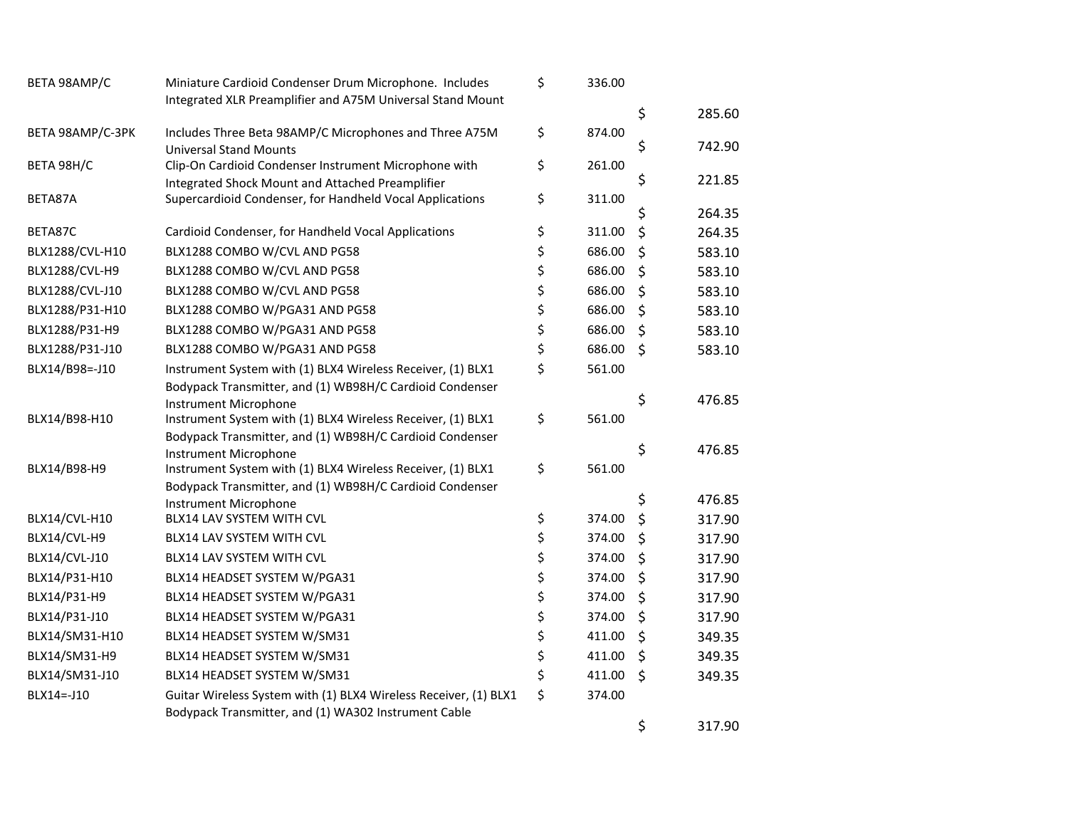| BETA 98AMP/C     | Miniature Cardioid Condenser Drum Microphone. Includes                               | \$<br>336.00 |              |
|------------------|--------------------------------------------------------------------------------------|--------------|--------------|
|                  | Integrated XLR Preamplifier and A75M Universal Stand Mount                           |              | \$<br>285.60 |
| BETA 98AMP/C-3PK | Includes Three Beta 98AMP/C Microphones and Three A75M                               | \$<br>874.00 |              |
|                  | <b>Universal Stand Mounts</b>                                                        |              | \$<br>742.90 |
| BETA 98H/C       | Clip-On Cardioid Condenser Instrument Microphone with                                | \$<br>261.00 |              |
|                  | Integrated Shock Mount and Attached Preamplifier                                     |              | \$<br>221.85 |
| BETA87A          | Supercardioid Condenser, for Handheld Vocal Applications                             | \$<br>311.00 | 264.35       |
|                  |                                                                                      |              | \$           |
| BETA87C          | Cardioid Condenser, for Handheld Vocal Applications                                  | \$<br>311.00 | \$<br>264.35 |
| BLX1288/CVL-H10  | BLX1288 COMBO W/CVL AND PG58                                                         | \$<br>686.00 | \$<br>583.10 |
| BLX1288/CVL-H9   | BLX1288 COMBO W/CVL AND PG58                                                         | \$<br>686.00 | \$<br>583.10 |
| BLX1288/CVL-J10  | BLX1288 COMBO W/CVL AND PG58                                                         | \$<br>686.00 | \$<br>583.10 |
| BLX1288/P31-H10  | BLX1288 COMBO W/PGA31 AND PG58                                                       | \$<br>686.00 | \$<br>583.10 |
| BLX1288/P31-H9   | BLX1288 COMBO W/PGA31 AND PG58                                                       | \$<br>686.00 | \$<br>583.10 |
| BLX1288/P31-J10  | BLX1288 COMBO W/PGA31 AND PG58                                                       | \$<br>686.00 | \$<br>583.10 |
| BLX14/B98 =- J10 | Instrument System with (1) BLX4 Wireless Receiver, (1) BLX1                          | \$<br>561.00 |              |
|                  | Bodypack Transmitter, and (1) WB98H/C Cardioid Condenser                             |              |              |
|                  | <b>Instrument Microphone</b>                                                         |              | \$<br>476.85 |
| BLX14/B98-H10    | Instrument System with (1) BLX4 Wireless Receiver, (1) BLX1                          | \$<br>561.00 |              |
|                  | Bodypack Transmitter, and (1) WB98H/C Cardioid Condenser                             |              | \$<br>476.85 |
| BLX14/B98-H9     | Instrument Microphone<br>Instrument System with (1) BLX4 Wireless Receiver, (1) BLX1 | \$<br>561.00 |              |
|                  | Bodypack Transmitter, and (1) WB98H/C Cardioid Condenser                             |              |              |
|                  | Instrument Microphone                                                                |              | \$<br>476.85 |
| BLX14/CVL-H10    | BLX14 LAV SYSTEM WITH CVL                                                            | \$<br>374.00 | \$<br>317.90 |
| BLX14/CVL-H9     | BLX14 LAV SYSTEM WITH CVL                                                            | \$<br>374.00 | \$<br>317.90 |
| BLX14/CVL-J10    | BLX14 LAV SYSTEM WITH CVL                                                            | \$<br>374.00 | \$<br>317.90 |
| BLX14/P31-H10    | BLX14 HEADSET SYSTEM W/PGA31                                                         | \$<br>374.00 | \$<br>317.90 |
| BLX14/P31-H9     | BLX14 HEADSET SYSTEM W/PGA31                                                         | \$<br>374.00 | \$<br>317.90 |
| BLX14/P31-J10    | BLX14 HEADSET SYSTEM W/PGA31                                                         | \$<br>374.00 | \$<br>317.90 |
| BLX14/SM31-H10   | BLX14 HEADSET SYSTEM W/SM31                                                          | \$<br>411.00 | \$<br>349.35 |
| BLX14/SM31-H9    | BLX14 HEADSET SYSTEM W/SM31                                                          | \$<br>411.00 | \$<br>349.35 |
| BLX14/SM31-J10   | BLX14 HEADSET SYSTEM W/SM31                                                          | \$<br>411.00 | \$<br>349.35 |
| BLX14 =- J10     | Guitar Wireless System with (1) BLX4 Wireless Receiver, (1) BLX1                     | \$<br>374.00 |              |
|                  | Bodypack Transmitter, and (1) WA302 Instrument Cable                                 |              |              |
|                  |                                                                                      |              | \$<br>317.90 |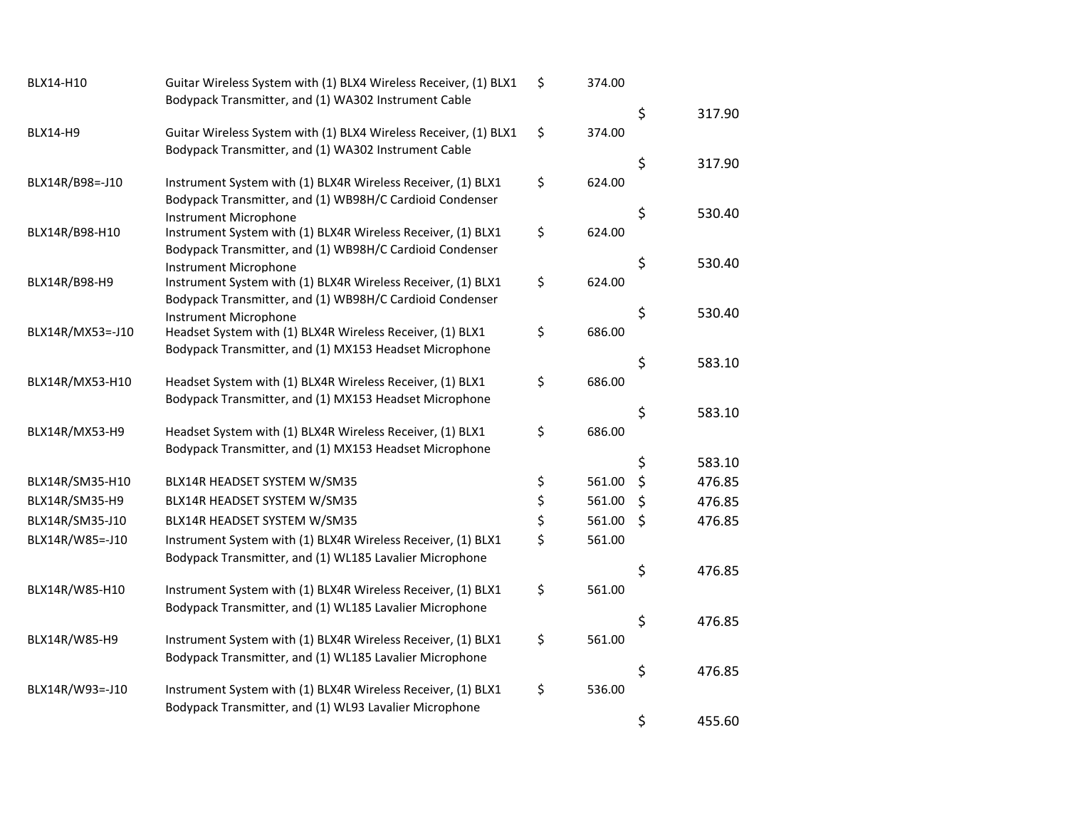| BLX14-H10         | Guitar Wireless System with (1) BLX4 Wireless Receiver, (1) BLX1                                                       | \$<br>374.00 |              |
|-------------------|------------------------------------------------------------------------------------------------------------------------|--------------|--------------|
|                   | Bodypack Transmitter, and (1) WA302 Instrument Cable                                                                   |              | 317.90       |
| <b>BLX14-H9</b>   | Guitar Wireless System with (1) BLX4 Wireless Receiver, (1) BLX1                                                       | \$<br>374.00 | \$           |
|                   | Bodypack Transmitter, and (1) WA302 Instrument Cable                                                                   |              |              |
|                   |                                                                                                                        |              | \$<br>317.90 |
| BLX14R/B98 =- J10 | Instrument System with (1) BLX4R Wireless Receiver, (1) BLX1                                                           | \$<br>624.00 |              |
|                   | Bodypack Transmitter, and (1) WB98H/C Cardioid Condenser                                                               |              | \$<br>530.40 |
|                   | Instrument Microphone                                                                                                  | 624.00       |              |
| BLX14R/B98-H10    | Instrument System with (1) BLX4R Wireless Receiver, (1) BLX1                                                           | \$           |              |
|                   | Bodypack Transmitter, and (1) WB98H/C Cardioid Condenser<br><b>Instrument Microphone</b>                               |              | \$<br>530.40 |
| BLX14R/B98-H9     | Instrument System with (1) BLX4R Wireless Receiver, (1) BLX1                                                           | \$<br>624.00 |              |
|                   | Bodypack Transmitter, and (1) WB98H/C Cardioid Condenser                                                               |              |              |
|                   | <b>Instrument Microphone</b>                                                                                           |              | \$<br>530.40 |
| BLX14R/MX53=-J10  | Headset System with (1) BLX4R Wireless Receiver, (1) BLX1                                                              | \$<br>686.00 |              |
|                   | Bodypack Transmitter, and (1) MX153 Headset Microphone                                                                 |              |              |
|                   |                                                                                                                        |              | \$<br>583.10 |
| BLX14R/MX53-H10   | Headset System with (1) BLX4R Wireless Receiver, (1) BLX1                                                              | \$<br>686.00 |              |
|                   | Bodypack Transmitter, and (1) MX153 Headset Microphone                                                                 |              |              |
|                   |                                                                                                                        | \$<br>686.00 | \$<br>583.10 |
| BLX14R/MX53-H9    | Headset System with (1) BLX4R Wireless Receiver, (1) BLX1                                                              |              |              |
|                   | Bodypack Transmitter, and (1) MX153 Headset Microphone                                                                 |              | \$<br>583.10 |
| BLX14R/SM35-H10   | BLX14R HEADSET SYSTEM W/SM35                                                                                           | \$<br>561.00 | \$<br>476.85 |
| BLX14R/SM35-H9    | BLX14R HEADSET SYSTEM W/SM35                                                                                           | \$<br>561.00 | \$<br>476.85 |
| BLX14R/SM35-J10   | BLX14R HEADSET SYSTEM W/SM35                                                                                           | \$<br>561.00 | \$<br>476.85 |
| BLX14R/W85=-J10   | Instrument System with (1) BLX4R Wireless Receiver, (1) BLX1                                                           | \$<br>561.00 |              |
|                   | Bodypack Transmitter, and (1) WL185 Lavalier Microphone                                                                |              |              |
|                   |                                                                                                                        |              | \$<br>476.85 |
| BLX14R/W85-H10    | Instrument System with (1) BLX4R Wireless Receiver, (1) BLX1                                                           | \$<br>561.00 |              |
|                   | Bodypack Transmitter, and (1) WL185 Lavalier Microphone                                                                |              |              |
|                   |                                                                                                                        |              | \$<br>476.85 |
| BLX14R/W85-H9     | Instrument System with (1) BLX4R Wireless Receiver, (1) BLX1                                                           | \$<br>561.00 |              |
|                   | Bodypack Transmitter, and (1) WL185 Lavalier Microphone                                                                |              | \$<br>476.85 |
|                   |                                                                                                                        | 536.00       |              |
| BLX14R/W93=-J10   | Instrument System with (1) BLX4R Wireless Receiver, (1) BLX1<br>Bodypack Transmitter, and (1) WL93 Lavalier Microphone | \$           |              |
|                   |                                                                                                                        |              | \$<br>455.60 |
|                   |                                                                                                                        |              |              |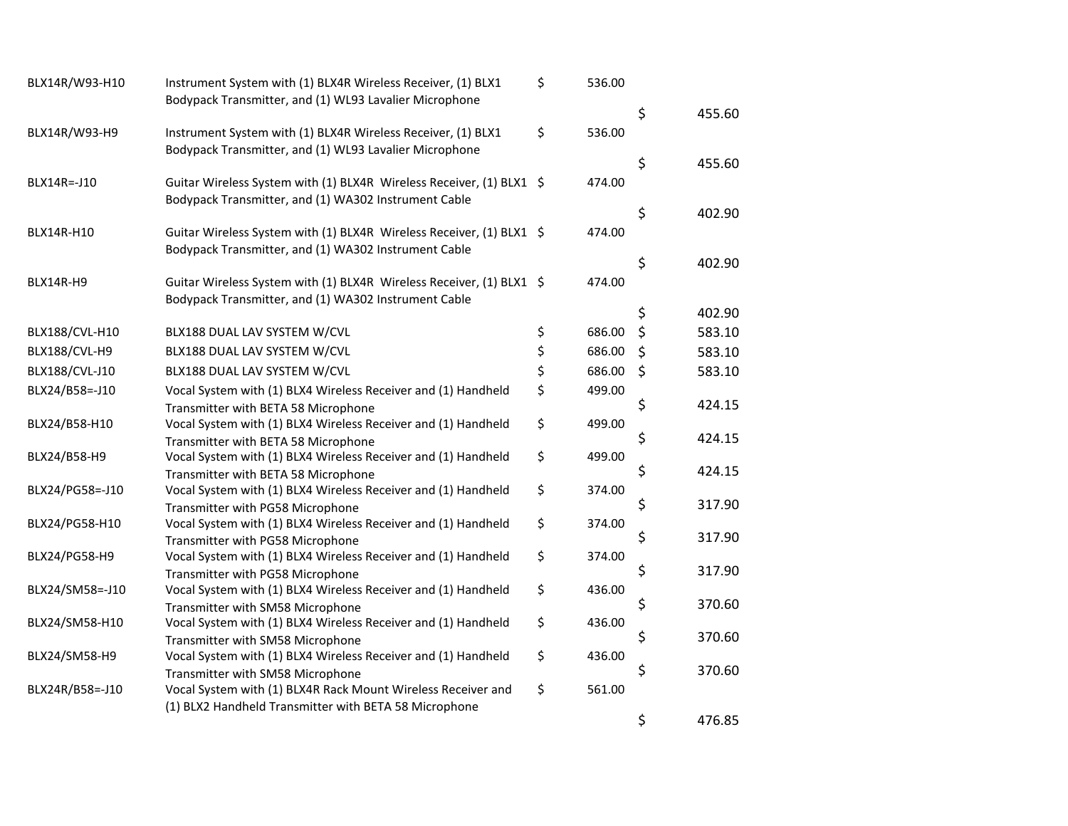| BLX14R/W93-H10    | Instrument System with (1) BLX4R Wireless Receiver, (1) BLX1                                      | \$<br>536.00 |         |        |
|-------------------|---------------------------------------------------------------------------------------------------|--------------|---------|--------|
|                   | Bodypack Transmitter, and (1) WL93 Lavalier Microphone                                            |              | \$      | 455.60 |
| BLX14R/W93-H9     | Instrument System with (1) BLX4R Wireless Receiver, (1) BLX1                                      | \$<br>536.00 |         |        |
|                   | Bodypack Transmitter, and (1) WL93 Lavalier Microphone                                            |              |         |        |
|                   |                                                                                                   |              | \$      | 455.60 |
| BLX14R=-J10       | Guitar Wireless System with (1) BLX4R Wireless Receiver, (1) BLX1 \$                              | 474.00       |         |        |
|                   | Bodypack Transmitter, and (1) WA302 Instrument Cable                                              |              | \$      | 402.90 |
| BLX14R-H10        | Guitar Wireless System with (1) BLX4R Wireless Receiver, (1) BLX1 \$                              | 474.00       |         |        |
|                   | Bodypack Transmitter, and (1) WA302 Instrument Cable                                              |              |         |        |
|                   |                                                                                                   |              | \$      | 402.90 |
| BLX14R-H9         | Guitar Wireless System with (1) BLX4R Wireless Receiver, (1) BLX1 \$                              | 474.00       |         |        |
|                   | Bodypack Transmitter, and (1) WA302 Instrument Cable                                              |              | \$      | 402.90 |
| BLX188/CVL-H10    | BLX188 DUAL LAV SYSTEM W/CVL                                                                      | \$<br>686.00 | \$      | 583.10 |
| BLX188/CVL-H9     | BLX188 DUAL LAV SYSTEM W/CVL                                                                      | \$<br>686.00 | \$      | 583.10 |
| BLX188/CVL-J10    | BLX188 DUAL LAV SYSTEM W/CVL                                                                      | \$<br>686.00 | $\zeta$ | 583.10 |
| BLX24/B58 =- J10  | Vocal System with (1) BLX4 Wireless Receiver and (1) Handheld                                     | \$<br>499.00 |         |        |
|                   | Transmitter with BETA 58 Microphone                                                               |              | \$      | 424.15 |
| BLX24/B58-H10     | Vocal System with (1) BLX4 Wireless Receiver and (1) Handheld                                     | \$<br>499.00 |         |        |
|                   | Transmitter with BETA 58 Microphone                                                               |              | \$      | 424.15 |
| BLX24/B58-H9      | Vocal System with (1) BLX4 Wireless Receiver and (1) Handheld                                     | \$<br>499.00 |         |        |
|                   | Transmitter with BETA 58 Microphone                                                               |              | \$      | 424.15 |
| BLX24/PG58 =- J10 | Vocal System with (1) BLX4 Wireless Receiver and (1) Handheld                                     | \$<br>374.00 |         |        |
|                   | Transmitter with PG58 Microphone                                                                  |              | \$      | 317.90 |
| BLX24/PG58-H10    | Vocal System with (1) BLX4 Wireless Receiver and (1) Handheld                                     | \$<br>374.00 | \$      | 317.90 |
| BLX24/PG58-H9     | Transmitter with PG58 Microphone<br>Vocal System with (1) BLX4 Wireless Receiver and (1) Handheld | \$<br>374.00 |         |        |
|                   | Transmitter with PG58 Microphone                                                                  |              | \$      | 317.90 |
| BLX24/SM58=-J10   | Vocal System with (1) BLX4 Wireless Receiver and (1) Handheld                                     | \$<br>436.00 |         |        |
|                   | Transmitter with SM58 Microphone                                                                  |              | \$      | 370.60 |
| BLX24/SM58-H10    | Vocal System with (1) BLX4 Wireless Receiver and (1) Handheld                                     | \$<br>436.00 |         |        |
|                   | Transmitter with SM58 Microphone                                                                  |              | \$      | 370.60 |
| BLX24/SM58-H9     | Vocal System with (1) BLX4 Wireless Receiver and (1) Handheld                                     | \$<br>436.00 |         |        |
|                   | Transmitter with SM58 Microphone                                                                  |              | \$      | 370.60 |
| BLX24R/B58=-J10   | Vocal System with (1) BLX4R Rack Mount Wireless Receiver and                                      | \$<br>561.00 |         |        |
|                   | (1) BLX2 Handheld Transmitter with BETA 58 Microphone                                             |              | \$      | 476.85 |
|                   |                                                                                                   |              |         |        |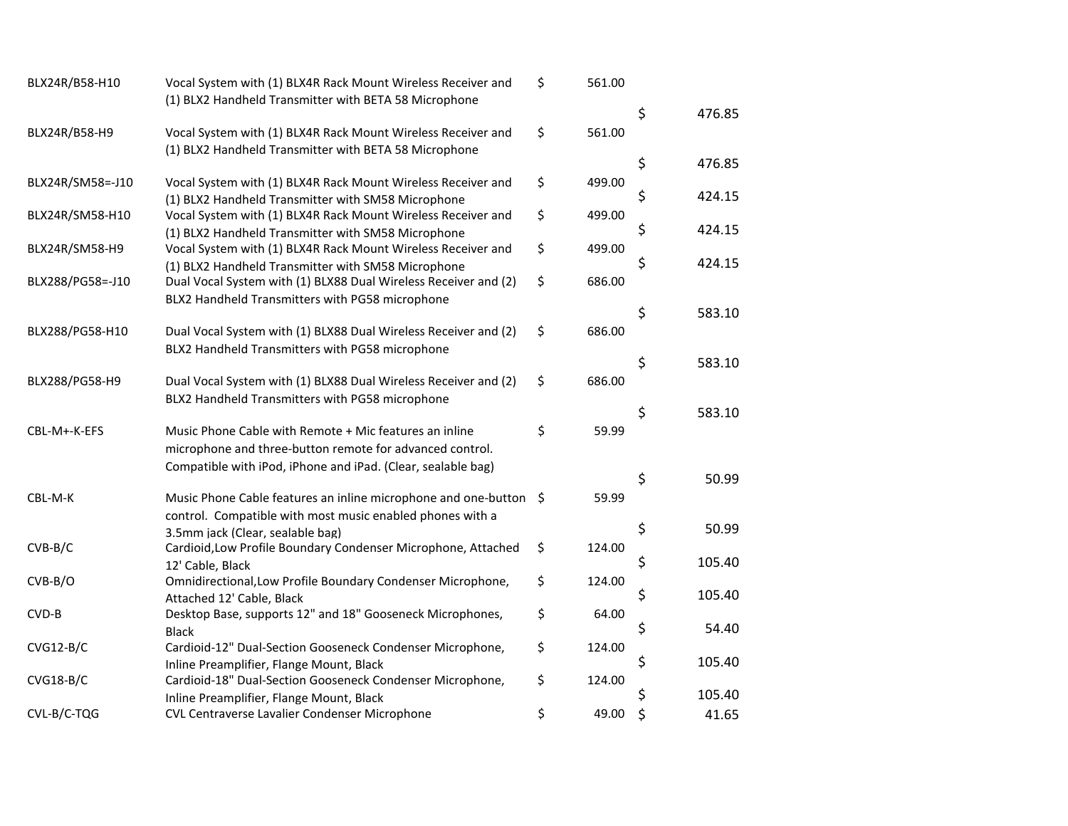| BLX24R/B58-H10   | Vocal System with (1) BLX4R Rack Mount Wireless Receiver and      | \$<br>561.00 |              |
|------------------|-------------------------------------------------------------------|--------------|--------------|
|                  | (1) BLX2 Handheld Transmitter with BETA 58 Microphone             |              |              |
|                  |                                                                   |              | \$<br>476.85 |
| BLX24R/B58-H9    | Vocal System with (1) BLX4R Rack Mount Wireless Receiver and      | \$<br>561.00 |              |
|                  | (1) BLX2 Handheld Transmitter with BETA 58 Microphone             |              |              |
|                  |                                                                   |              | \$<br>476.85 |
| BLX24R/SM58=-J10 | Vocal System with (1) BLX4R Rack Mount Wireless Receiver and      | \$<br>499.00 |              |
|                  | (1) BLX2 Handheld Transmitter with SM58 Microphone                |              | \$<br>424.15 |
| BLX24R/SM58-H10  | Vocal System with (1) BLX4R Rack Mount Wireless Receiver and      | \$<br>499.00 |              |
|                  | (1) BLX2 Handheld Transmitter with SM58 Microphone                |              | \$<br>424.15 |
| BLX24R/SM58-H9   | Vocal System with (1) BLX4R Rack Mount Wireless Receiver and      | \$<br>499.00 |              |
|                  | (1) BLX2 Handheld Transmitter with SM58 Microphone                |              | \$<br>424.15 |
| BLX288/PG58=-J10 | Dual Vocal System with (1) BLX88 Dual Wireless Receiver and (2)   | \$<br>686.00 |              |
|                  | BLX2 Handheld Transmitters with PG58 microphone                   |              |              |
|                  |                                                                   |              | \$<br>583.10 |
| BLX288/PG58-H10  | Dual Vocal System with (1) BLX88 Dual Wireless Receiver and (2)   | \$<br>686.00 |              |
|                  | BLX2 Handheld Transmitters with PG58 microphone                   |              |              |
|                  |                                                                   |              | \$<br>583.10 |
| BLX288/PG58-H9   | Dual Vocal System with (1) BLX88 Dual Wireless Receiver and (2)   | \$<br>686.00 |              |
|                  | BLX2 Handheld Transmitters with PG58 microphone                   |              |              |
|                  |                                                                   |              | \$<br>583.10 |
| CBL-M+-K-EFS     | Music Phone Cable with Remote + Mic features an inline            | \$<br>59.99  |              |
|                  | microphone and three-button remote for advanced control.          |              |              |
|                  | Compatible with iPod, iPhone and iPad. (Clear, sealable bag)      |              |              |
|                  |                                                                   |              | \$<br>50.99  |
| CBL-M-K          | Music Phone Cable features an inline microphone and one-button \$ | 59.99        |              |
|                  | control. Compatible with most music enabled phones with a         |              |              |
|                  | 3.5mm jack (Clear, sealable bag)                                  |              | \$<br>50.99  |
| $CVB-B/C$        | Cardioid, Low Profile Boundary Condenser Microphone, Attached     | \$<br>124.00 |              |
|                  | 12' Cable, Black                                                  |              | \$<br>105.40 |
| $CVB-B/O$        | Omnidirectional, Low Profile Boundary Condenser Microphone,       | \$<br>124.00 |              |
|                  | Attached 12' Cable, Black                                         |              | \$<br>105.40 |
| CVD-B            | Desktop Base, supports 12" and 18" Gooseneck Microphones,         | \$<br>64.00  |              |
|                  | <b>Black</b>                                                      |              | \$<br>54.40  |
| $CVG12-B/C$      | Cardioid-12" Dual-Section Gooseneck Condenser Microphone,         | \$<br>124.00 |              |
|                  | Inline Preamplifier, Flange Mount, Black                          |              | \$<br>105.40 |
| $CVG18-B/C$      | Cardioid-18" Dual-Section Gooseneck Condenser Microphone,         | \$<br>124.00 |              |
|                  | Inline Preamplifier, Flange Mount, Black                          |              | \$<br>105.40 |
| CVL-B/C-TQG      | CVL Centraverse Lavalier Condenser Microphone                     | \$<br>49.00  | \$<br>41.65  |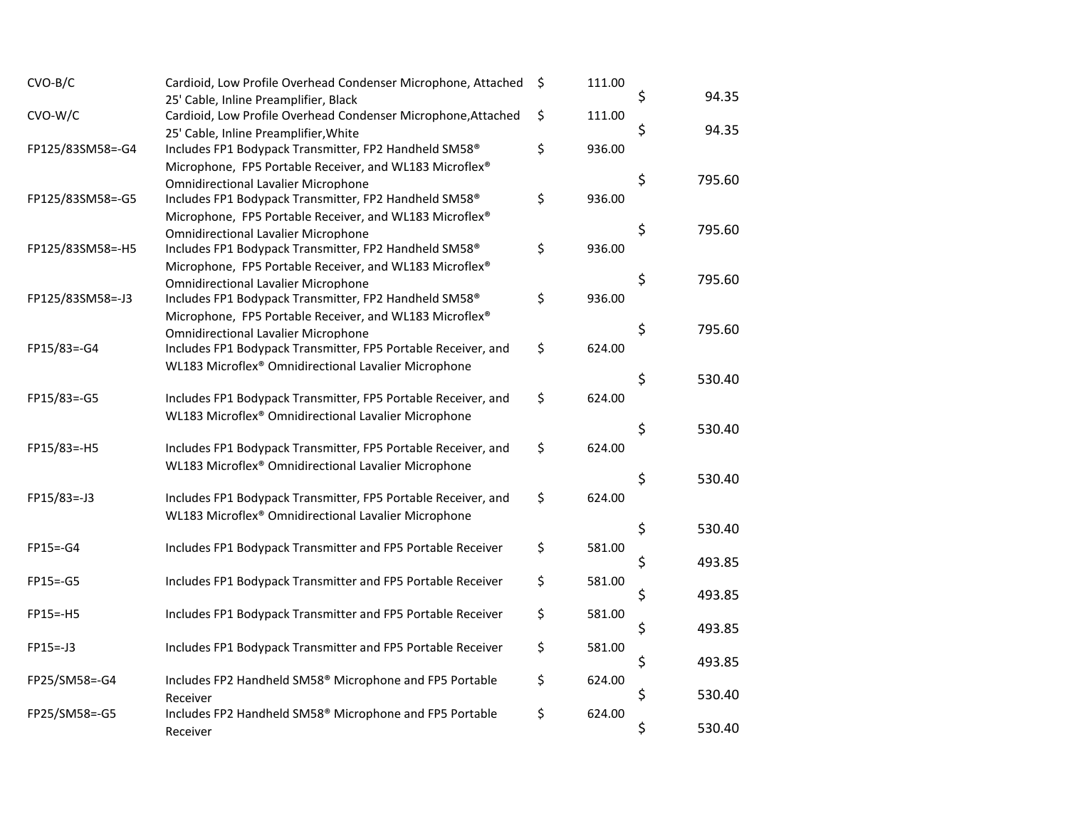| $CVO-B/C$        | Cardioid, Low Profile Overhead Condenser Microphone, Attached                                         | \$<br>111.00 | \$<br>94.35  |
|------------------|-------------------------------------------------------------------------------------------------------|--------------|--------------|
|                  | 25' Cable, Inline Preamplifier, Black                                                                 |              |              |
| CVO-W/C          | Cardioid, Low Profile Overhead Condenser Microphone, Attached                                         | \$<br>111.00 | \$<br>94.35  |
|                  | 25' Cable, Inline Preamplifier, White                                                                 | 936.00       |              |
| FP125/83SM58=-G4 | Includes FP1 Bodypack Transmitter, FP2 Handheld SM58 <sup>®</sup>                                     | \$           |              |
|                  | Microphone, FP5 Portable Receiver, and WL183 Microflex®                                               |              | \$<br>795.60 |
| FP125/83SM58=-G5 | <b>Omnidirectional Lavalier Microphone</b><br>Includes FP1 Bodypack Transmitter, FP2 Handheld SM58®   | \$<br>936.00 |              |
|                  |                                                                                                       |              |              |
|                  | Microphone, FP5 Portable Receiver, and WL183 Microflex®<br><b>Omnidirectional Lavalier Microphone</b> |              | \$<br>795.60 |
| FP125/83SM58=-H5 | Includes FP1 Bodypack Transmitter, FP2 Handheld SM58®                                                 | \$<br>936.00 |              |
|                  | Microphone, FP5 Portable Receiver, and WL183 Microflex®                                               |              |              |
|                  | <b>Omnidirectional Lavalier Microphone</b>                                                            |              | \$<br>795.60 |
| FP125/83SM58=-J3 | Includes FP1 Bodypack Transmitter, FP2 Handheld SM58®                                                 | \$<br>936.00 |              |
|                  | Microphone, FP5 Portable Receiver, and WL183 Microflex®                                               |              |              |
|                  | <b>Omnidirectional Lavalier Microphone</b>                                                            |              | \$<br>795.60 |
| FP15/83=-G4      | Includes FP1 Bodypack Transmitter, FP5 Portable Receiver, and                                         | \$<br>624.00 |              |
|                  | WL183 Microflex® Omnidirectional Lavalier Microphone                                                  |              |              |
|                  |                                                                                                       |              | \$<br>530.40 |
| FP15/83=-G5      | Includes FP1 Bodypack Transmitter, FP5 Portable Receiver, and                                         | \$<br>624.00 |              |
|                  | WL183 Microflex® Omnidirectional Lavalier Microphone                                                  |              |              |
|                  |                                                                                                       |              | \$<br>530.40 |
| FP15/83=-H5      | Includes FP1 Bodypack Transmitter, FP5 Portable Receiver, and                                         | \$<br>624.00 |              |
|                  | WL183 Microflex® Omnidirectional Lavalier Microphone                                                  |              |              |
|                  |                                                                                                       |              | \$<br>530.40 |
| FP15/83=-J3      | Includes FP1 Bodypack Transmitter, FP5 Portable Receiver, and                                         | \$<br>624.00 |              |
|                  | WL183 Microflex® Omnidirectional Lavalier Microphone                                                  |              |              |
|                  |                                                                                                       |              | \$<br>530.40 |
| FP15=-G4         | Includes FP1 Bodypack Transmitter and FP5 Portable Receiver                                           | \$<br>581.00 |              |
|                  |                                                                                                       |              | \$<br>493.85 |
| FP15=-G5         | Includes FP1 Bodypack Transmitter and FP5 Portable Receiver                                           | \$<br>581.00 |              |
|                  |                                                                                                       |              | \$<br>493.85 |
| FP15=-H5         | Includes FP1 Bodypack Transmitter and FP5 Portable Receiver                                           | \$<br>581.00 |              |
|                  |                                                                                                       |              | \$<br>493.85 |
| FP15=-J3         | Includes FP1 Bodypack Transmitter and FP5 Portable Receiver                                           | \$<br>581.00 |              |
|                  |                                                                                                       |              | \$<br>493.85 |
| FP25/SM58=-G4    | Includes FP2 Handheld SM58 <sup>®</sup> Microphone and FP5 Portable                                   | \$<br>624.00 |              |
|                  | Receiver                                                                                              |              | \$<br>530.40 |
| FP25/SM58=-G5    | Includes FP2 Handheld SM58 <sup>®</sup> Microphone and FP5 Portable                                   | \$<br>624.00 |              |
|                  | Receiver                                                                                              |              | \$<br>530.40 |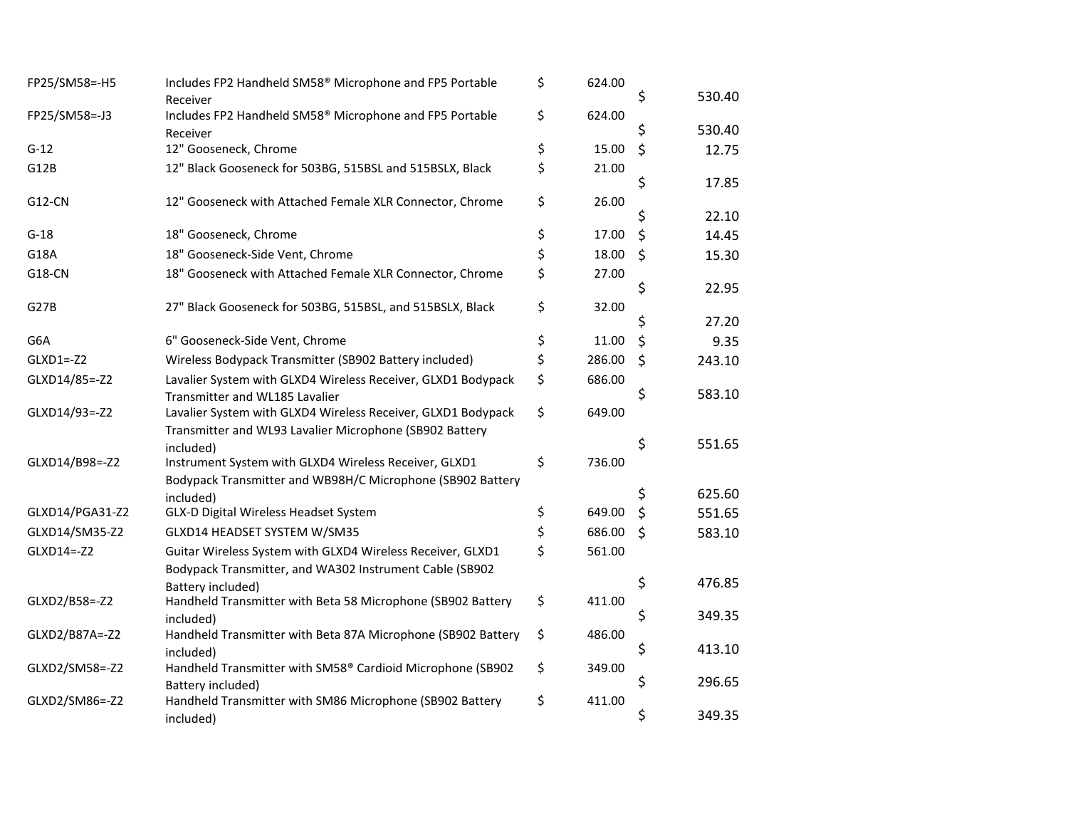| FP25/SM58=-H5    | Includes FP2 Handheld SM58 <sup>®</sup> Microphone and FP5 Portable             | \$<br>624.00 |              |
|------------------|---------------------------------------------------------------------------------|--------------|--------------|
|                  | Receiver                                                                        |              | \$<br>530.40 |
| FP25/SM58=-J3    | Includes FP2 Handheld SM58 <sup>®</sup> Microphone and FP5 Portable<br>Receiver | \$<br>624.00 | \$<br>530.40 |
| $G-12$           | 12" Gooseneck, Chrome                                                           | \$<br>15.00  | \$<br>12.75  |
| G12B             | 12" Black Gooseneck for 503BG, 515BSL and 515BSLX, Black                        | \$<br>21.00  | \$<br>17.85  |
| <b>G12-CN</b>    | 12" Gooseneck with Attached Female XLR Connector, Chrome                        | \$<br>26.00  |              |
|                  |                                                                                 |              | \$<br>22.10  |
| $G-18$           | 18" Gooseneck, Chrome                                                           | \$<br>17.00  | \$<br>14.45  |
| G18A             | 18" Gooseneck-Side Vent, Chrome                                                 | \$<br>18.00  | \$<br>15.30  |
| G18-CN           | 18" Gooseneck with Attached Female XLR Connector, Chrome                        | \$<br>27.00  | \$<br>22.95  |
| G27B             | 27" Black Gooseneck for 503BG, 515BSL, and 515BSLX, Black                       | \$<br>32.00  |              |
|                  |                                                                                 |              | \$<br>27.20  |
| G6A              | 6" Gooseneck-Side Vent, Chrome                                                  | \$<br>11.00  | \$<br>9.35   |
| GLXD1 =- Z2      | Wireless Bodypack Transmitter (SB902 Battery included)                          | \$<br>286.00 | \$<br>243.10 |
| GLXD14/85=-Z2    | Lavalier System with GLXD4 Wireless Receiver, GLXD1 Bodypack                    | \$<br>686.00 |              |
|                  | Transmitter and WL185 Lavalier                                                  |              | \$<br>583.10 |
| GLXD14/93 =- Z2  | Lavalier System with GLXD4 Wireless Receiver, GLXD1 Bodypack                    | \$<br>649.00 |              |
|                  | Transmitter and WL93 Lavalier Microphone (SB902 Battery                         |              | \$<br>551.65 |
| GLXD14/B98 =- Z2 | included)<br>Instrument System with GLXD4 Wireless Receiver, GLXD1              | \$<br>736.00 |              |
|                  | Bodypack Transmitter and WB98H/C Microphone (SB902 Battery                      |              |              |
|                  | included)                                                                       |              | \$<br>625.60 |
| GLXD14/PGA31-Z2  | GLX-D Digital Wireless Headset System                                           | \$<br>649.00 | \$<br>551.65 |
| GLXD14/SM35-Z2   | GLXD14 HEADSET SYSTEM W/SM35                                                    | \$<br>686.00 | \$<br>583.10 |
| GLXD14 =- Z2     | Guitar Wireless System with GLXD4 Wireless Receiver, GLXD1                      | \$<br>561.00 |              |
|                  | Bodypack Transmitter, and WA302 Instrument Cable (SB902                         |              |              |
|                  | Battery included)                                                               |              | \$<br>476.85 |
| GLXD2/B58=-Z2    | Handheld Transmitter with Beta 58 Microphone (SB902 Battery                     | \$<br>411.00 |              |
|                  | included)                                                                       |              | \$<br>349.35 |
| GLXD2/B87A =- Z2 | Handheld Transmitter with Beta 87A Microphone (SB902 Battery                    | \$<br>486.00 | \$<br>413.10 |
| GLXD2/SM58=-Z2   | included)<br>Handheld Transmitter with SM58® Cardioid Microphone (SB902         | \$<br>349.00 |              |
|                  | Battery included)                                                               |              | \$<br>296.65 |
| GLXD2/SM86=-Z2   | Handheld Transmitter with SM86 Microphone (SB902 Battery                        | \$<br>411.00 |              |
|                  | included)                                                                       |              | \$<br>349.35 |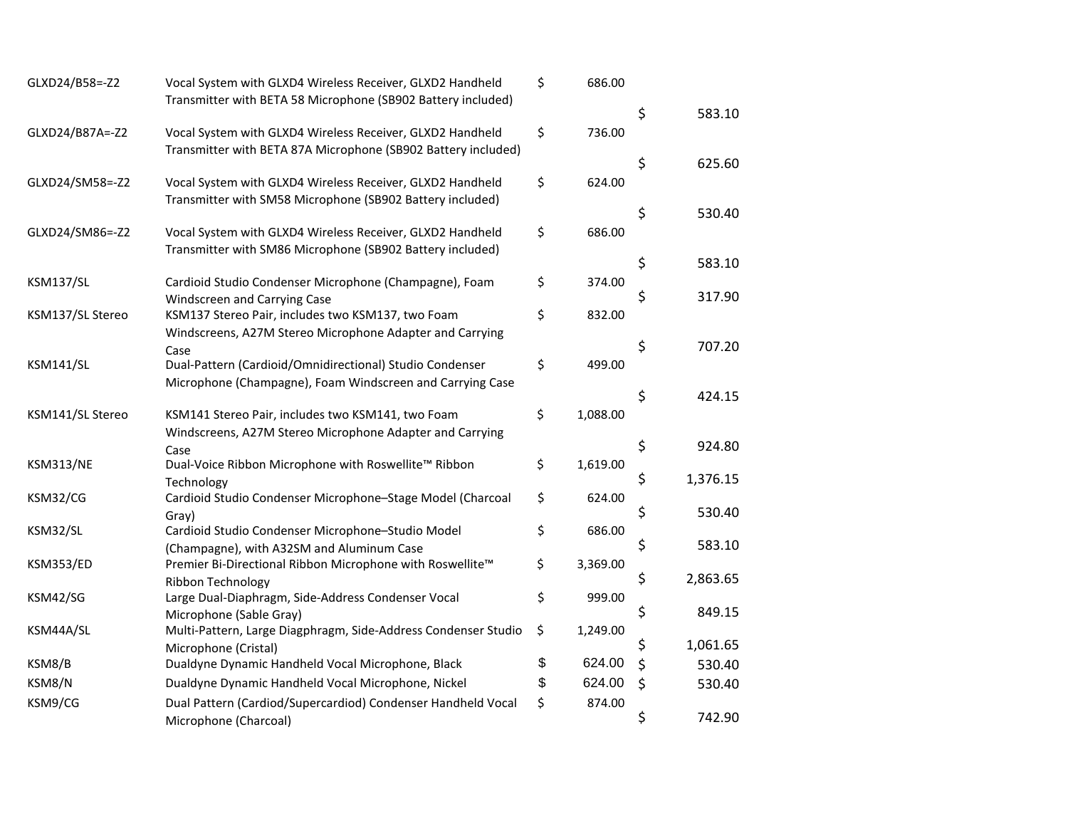| GLXD24/B58=-Z2    | Vocal System with GLXD4 Wireless Receiver, GLXD2 Handheld                                                     | \$<br>686.00   |                |
|-------------------|---------------------------------------------------------------------------------------------------------------|----------------|----------------|
|                   | Transmitter with BETA 58 Microphone (SB902 Battery included)                                                  |                |                |
|                   |                                                                                                               |                | \$<br>583.10   |
| GLXD24/B87A =- Z2 | Vocal System with GLXD4 Wireless Receiver, GLXD2 Handheld                                                     | \$<br>736.00   |                |
|                   | Transmitter with BETA 87A Microphone (SB902 Battery included)                                                 |                | \$<br>625.60   |
| GLXD24/SM58=-Z2   | Vocal System with GLXD4 Wireless Receiver, GLXD2 Handheld                                                     | \$<br>624.00   |                |
|                   | Transmitter with SM58 Microphone (SB902 Battery included)                                                     |                |                |
|                   |                                                                                                               |                | \$<br>530.40   |
| GLXD24/SM86=-Z2   | Vocal System with GLXD4 Wireless Receiver, GLXD2 Handheld                                                     | \$<br>686.00   |                |
|                   | Transmitter with SM86 Microphone (SB902 Battery included)                                                     |                |                |
|                   |                                                                                                               |                | \$<br>583.10   |
| <b>KSM137/SL</b>  | Cardioid Studio Condenser Microphone (Champagne), Foam                                                        | \$<br>374.00   | \$<br>317.90   |
|                   | Windscreen and Carrying Case                                                                                  | \$             |                |
| KSM137/SL Stereo  | KSM137 Stereo Pair, includes two KSM137, two Foam<br>Windscreens, A27M Stereo Microphone Adapter and Carrying | 832.00         |                |
|                   | Case                                                                                                          |                | \$<br>707.20   |
| KSM141/SL         | Dual-Pattern (Cardioid/Omnidirectional) Studio Condenser                                                      | \$<br>499.00   |                |
|                   | Microphone (Champagne), Foam Windscreen and Carrying Case                                                     |                |                |
|                   |                                                                                                               |                | \$<br>424.15   |
| KSM141/SL Stereo  | KSM141 Stereo Pair, includes two KSM141, two Foam                                                             | \$<br>1,088.00 |                |
|                   | Windscreens, A27M Stereo Microphone Adapter and Carrying                                                      |                |                |
|                   | Case                                                                                                          |                | \$<br>924.80   |
| <b>KSM313/NE</b>  | Dual-Voice Ribbon Microphone with Roswellite™ Ribbon                                                          | \$<br>1,619.00 |                |
|                   | Technology                                                                                                    |                | \$<br>1,376.15 |
| KSM32/CG          | Cardioid Studio Condenser Microphone-Stage Model (Charcoal                                                    | \$<br>624.00   | \$<br>530.40   |
| KSM32/SL          | Gray)<br>Cardioid Studio Condenser Microphone-Studio Model                                                    | \$<br>686.00   |                |
|                   | (Champagne), with A32SM and Aluminum Case                                                                     |                | \$<br>583.10   |
| <b>KSM353/ED</b>  | Premier Bi-Directional Ribbon Microphone with Roswellite™                                                     | \$<br>3,369.00 |                |
|                   | Ribbon Technology                                                                                             |                | \$<br>2,863.65 |
| KSM42/SG          | Large Dual-Diaphragm, Side-Address Condenser Vocal                                                            | \$<br>999.00   |                |
|                   | Microphone (Sable Gray)                                                                                       |                | \$<br>849.15   |
| KSM44A/SL         | Multi-Pattern, Large Diagphragm, Side-Address Condenser Studio                                                | \$<br>1,249.00 |                |
|                   | Microphone (Cristal)                                                                                          |                | \$<br>1,061.65 |
| KSM8/B            | Dualdyne Dynamic Handheld Vocal Microphone, Black                                                             | \$<br>624.00   | \$<br>530.40   |
| KSM8/N            | Dualdyne Dynamic Handheld Vocal Microphone, Nickel                                                            | \$<br>624.00   | \$<br>530.40   |
| KSM9/CG           | Dual Pattern (Cardiod/Supercardiod) Condenser Handheld Vocal                                                  | \$<br>874.00   |                |
|                   | Microphone (Charcoal)                                                                                         |                | \$<br>742.90   |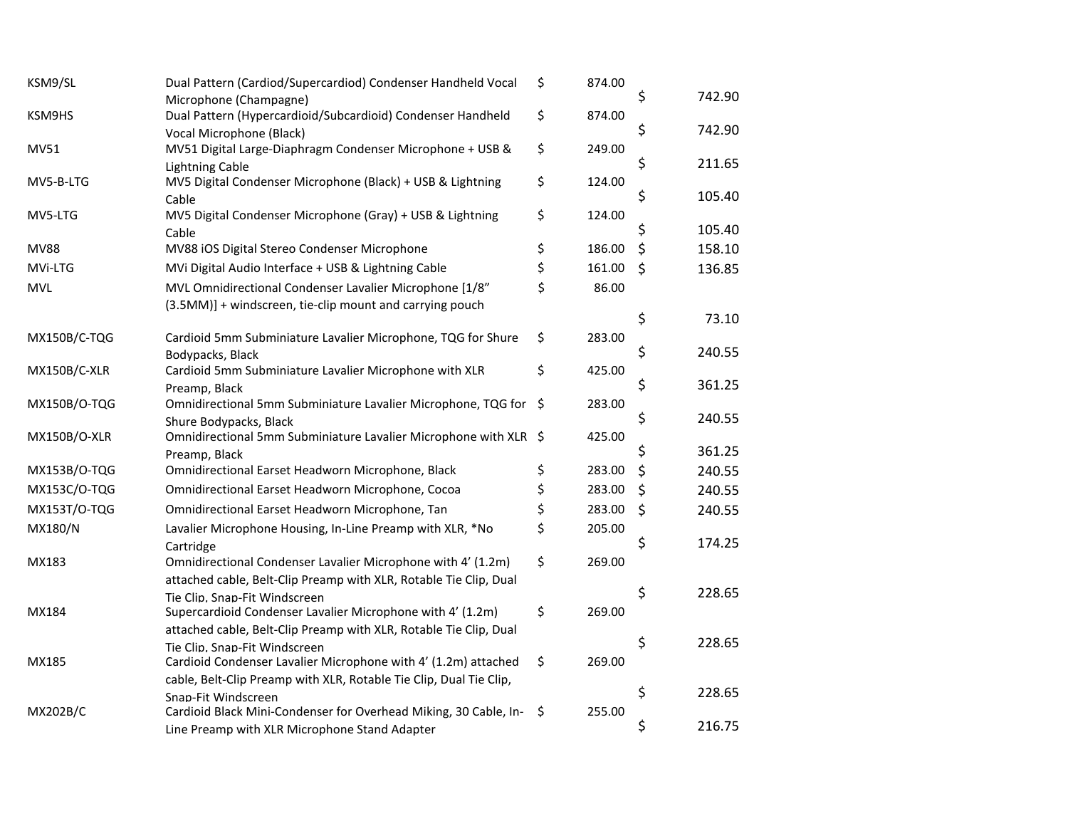| KSM9/SL             | Dual Pattern (Cardiod/Supercardiod) Condenser Handheld Vocal                            | \$   | 874.00 |              |
|---------------------|-----------------------------------------------------------------------------------------|------|--------|--------------|
|                     | Microphone (Champagne)                                                                  |      |        | \$<br>742.90 |
| KSM9HS              | Dual Pattern (Hypercardioid/Subcardioid) Condenser Handheld                             | \$   | 874.00 | \$<br>742.90 |
| MV51                | Vocal Microphone (Black)<br>MV51 Digital Large-Diaphragm Condenser Microphone + USB &   | \$   | 249.00 |              |
|                     | <b>Lightning Cable</b>                                                                  |      |        | \$<br>211.65 |
| MV5-B-LTG           | MV5 Digital Condenser Microphone (Black) + USB & Lightning                              | \$   | 124.00 |              |
|                     | Cable                                                                                   |      |        | \$<br>105.40 |
| MV5-LTG             | MV5 Digital Condenser Microphone (Gray) + USB & Lightning                               | \$   | 124.00 |              |
|                     | Cable                                                                                   |      |        | \$<br>105.40 |
| <b>MV88</b>         | MV88 iOS Digital Stereo Condenser Microphone                                            | \$   | 186.00 | \$<br>158.10 |
| MVi-LTG             | MVi Digital Audio Interface + USB & Lightning Cable                                     | \$   | 161.00 | \$<br>136.85 |
| <b>MVL</b>          | MVL Omnidirectional Condenser Lavalier Microphone [1/8"                                 | \$   | 86.00  |              |
|                     | (3.5MM)] + windscreen, tie-clip mount and carrying pouch                                |      |        |              |
|                     |                                                                                         |      |        | \$<br>73.10  |
| MX150B/C-TQG        | Cardioid 5mm Subminiature Lavalier Microphone, TQG for Shure                            | \$   | 283.00 |              |
|                     | Bodypacks, Black                                                                        |      |        | \$<br>240.55 |
| MX150B/C-XLR        | Cardioid 5mm Subminiature Lavalier Microphone with XLR                                  | \$   | 425.00 | \$<br>361.25 |
| MX150B/O-TQG        | Preamp, Black<br>Omnidirectional 5mm Subminiature Lavalier Microphone, TQG for          | - \$ | 283.00 |              |
|                     | Shure Bodypacks, Black                                                                  |      |        | \$<br>240.55 |
| <b>MX150B/O-XLR</b> | Omnidirectional 5mm Subminiature Lavalier Microphone with XLR \$                        |      | 425.00 |              |
|                     | Preamp, Black                                                                           |      |        | \$<br>361.25 |
| MX153B/O-TQG        | Omnidirectional Earset Headworn Microphone, Black                                       | \$   | 283.00 | \$<br>240.55 |
| MX153C/O-TQG        | Omnidirectional Earset Headworn Microphone, Cocoa                                       | \$   | 283.00 | \$<br>240.55 |
| MX153T/O-TQG        | Omnidirectional Earset Headworn Microphone, Tan                                         | \$   | 283.00 | \$<br>240.55 |
| MX180/N             | Lavalier Microphone Housing, In-Line Preamp with XLR, *No                               | \$   | 205.00 |              |
|                     | Cartridge                                                                               |      |        | \$<br>174.25 |
| MX183               | Omnidirectional Condenser Lavalier Microphone with 4' (1.2m)                            | \$   | 269.00 |              |
|                     | attached cable, Belt-Clip Preamp with XLR, Rotable Tie Clip, Dual                       |      |        |              |
|                     | Tie Clip, Snap-Fit Windscreen                                                           |      |        | \$<br>228.65 |
| MX184               | Supercardioid Condenser Lavalier Microphone with 4' (1.2m)                              | \$   | 269.00 |              |
|                     | attached cable, Belt-Clip Preamp with XLR, Rotable Tie Clip, Dual                       |      |        |              |
|                     | Tie Clip, Snap-Fit Windscreen                                                           |      |        | \$<br>228.65 |
| MX185               | Cardioid Condenser Lavalier Microphone with 4' (1.2m) attached                          | \$   | 269.00 |              |
|                     | cable, Belt-Clip Preamp with XLR, Rotable Tie Clip, Dual Tie Clip,                      |      |        | \$<br>228.65 |
| MX202B/C            | Snap-Fit Windscreen<br>Cardioid Black Mini-Condenser for Overhead Miking, 30 Cable, In- | \$   | 255.00 |              |
|                     | Line Preamp with XLR Microphone Stand Adapter                                           |      |        | \$<br>216.75 |
|                     |                                                                                         |      |        |              |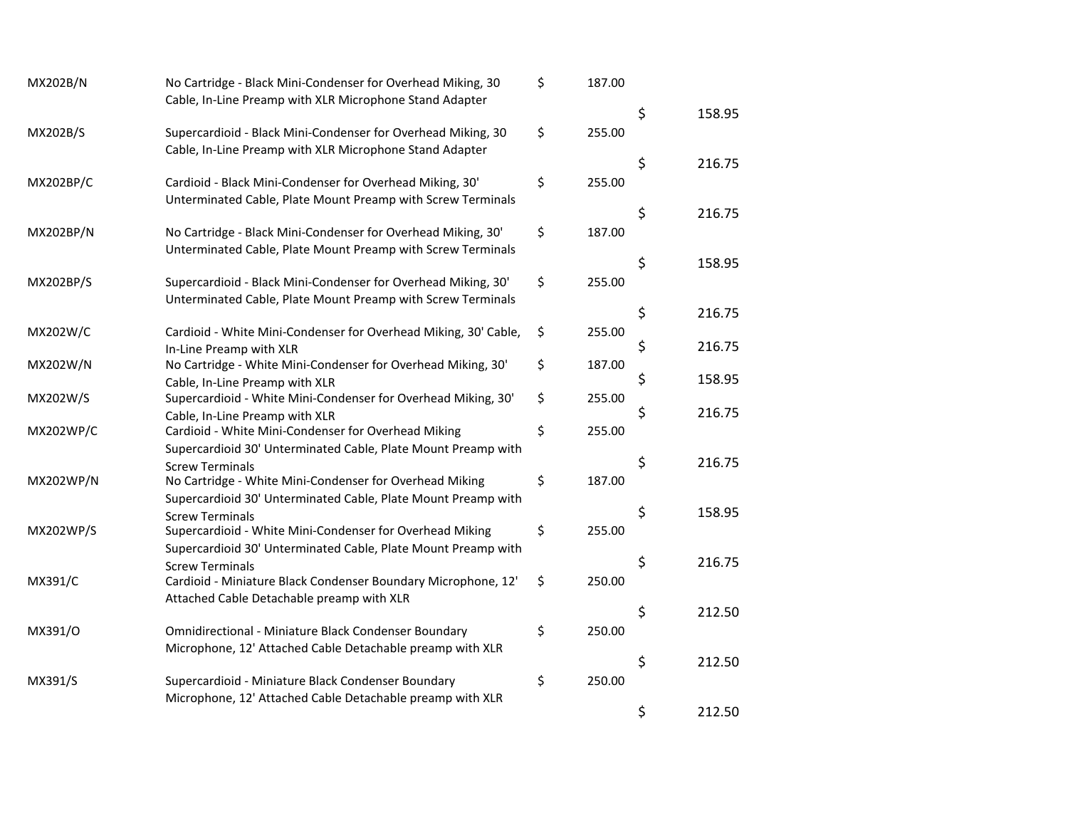| MX202B/N         | No Cartridge - Black Mini-Condenser for Overhead Miking, 30<br>Cable, In-Line Preamp with XLR Microphone Stand Adapter | \$<br>187.00 |              |
|------------------|------------------------------------------------------------------------------------------------------------------------|--------------|--------------|
|                  |                                                                                                                        |              | \$<br>158.95 |
| MX202B/S         | Supercardioid - Black Mini-Condenser for Overhead Miking, 30                                                           | \$<br>255.00 |              |
|                  | Cable, In-Line Preamp with XLR Microphone Stand Adapter                                                                |              |              |
|                  |                                                                                                                        |              | \$<br>216.75 |
| MX202BP/C        | Cardioid - Black Mini-Condenser for Overhead Miking, 30'                                                               | \$<br>255.00 |              |
|                  | Unterminated Cable, Plate Mount Preamp with Screw Terminals                                                            |              |              |
|                  |                                                                                                                        |              | \$<br>216.75 |
| <b>MX202BP/N</b> | No Cartridge - Black Mini-Condenser for Overhead Miking, 30'                                                           | \$<br>187.00 |              |
|                  | Unterminated Cable, Plate Mount Preamp with Screw Terminals                                                            |              |              |
|                  |                                                                                                                        |              | \$<br>158.95 |
| MX202BP/S        | Supercardioid - Black Mini-Condenser for Overhead Miking, 30'                                                          | \$<br>255.00 |              |
|                  | Unterminated Cable, Plate Mount Preamp with Screw Terminals                                                            |              | \$<br>216.75 |
| MX202W/C         | Cardioid - White Mini-Condenser for Overhead Miking, 30' Cable,                                                        | 255.00       |              |
|                  | In-Line Preamp with XLR                                                                                                | \$           | \$<br>216.75 |
| MX202W/N         | No Cartridge - White Mini-Condenser for Overhead Miking, 30'                                                           | \$<br>187.00 |              |
|                  | Cable, In-Line Preamp with XLR                                                                                         |              | \$<br>158.95 |
| MX202W/S         | Supercardioid - White Mini-Condenser for Overhead Miking, 30'                                                          | \$<br>255.00 |              |
|                  | Cable, In-Line Preamp with XLR                                                                                         |              | \$<br>216.75 |
| MX202WP/C        | Cardioid - White Mini-Condenser for Overhead Miking                                                                    | \$<br>255.00 |              |
|                  | Supercardioid 30' Unterminated Cable, Plate Mount Preamp with                                                          |              |              |
|                  | <b>Screw Terminals</b>                                                                                                 |              | \$<br>216.75 |
| <b>MX202WP/N</b> | No Cartridge - White Mini-Condenser for Overhead Miking                                                                | \$<br>187.00 |              |
|                  | Supercardioid 30' Unterminated Cable, Plate Mount Preamp with                                                          |              |              |
|                  | <b>Screw Terminals</b>                                                                                                 |              | \$<br>158.95 |
| <b>MX202WP/S</b> | Supercardioid - White Mini-Condenser for Overhead Miking                                                               | \$<br>255.00 |              |
|                  | Supercardioid 30' Unterminated Cable, Plate Mount Preamp with                                                          |              |              |
|                  | <b>Screw Terminals</b>                                                                                                 |              | \$<br>216.75 |
| MX391/C          | Cardioid - Miniature Black Condenser Boundary Microphone, 12'                                                          | \$<br>250.00 |              |
|                  | Attached Cable Detachable preamp with XLR                                                                              |              |              |
|                  |                                                                                                                        |              | \$<br>212.50 |
| MX391/0          | <b>Omnidirectional - Miniature Black Condenser Boundary</b>                                                            | \$<br>250.00 |              |
|                  | Microphone, 12' Attached Cable Detachable preamp with XLR                                                              |              | \$<br>212.50 |
| MX391/S          | Supercardioid - Miniature Black Condenser Boundary                                                                     | \$<br>250.00 |              |
|                  | Microphone, 12' Attached Cable Detachable preamp with XLR                                                              |              |              |
|                  |                                                                                                                        |              | \$<br>212.50 |
|                  |                                                                                                                        |              |              |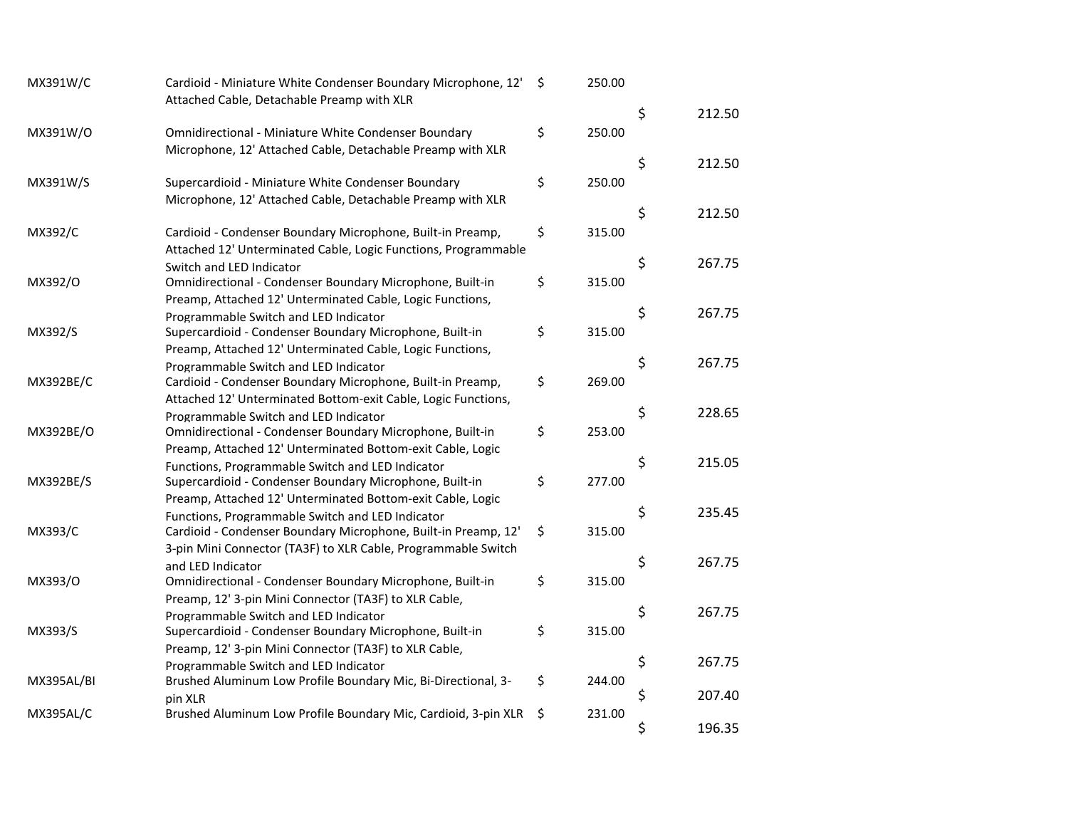|                                                                |                                                                                                                                                                                                                                                                                                                                                                                                                                                                                                                                                                                                                                                                                                                                                                                                                                                                                                                                                                                                                                                                                                                                                                                                                    | 250.00                                                                                                           |                                                                              |                                                    |
|----------------------------------------------------------------|--------------------------------------------------------------------------------------------------------------------------------------------------------------------------------------------------------------------------------------------------------------------------------------------------------------------------------------------------------------------------------------------------------------------------------------------------------------------------------------------------------------------------------------------------------------------------------------------------------------------------------------------------------------------------------------------------------------------------------------------------------------------------------------------------------------------------------------------------------------------------------------------------------------------------------------------------------------------------------------------------------------------------------------------------------------------------------------------------------------------------------------------------------------------------------------------------------------------|------------------------------------------------------------------------------------------------------------------|------------------------------------------------------------------------------|----------------------------------------------------|
|                                                                |                                                                                                                                                                                                                                                                                                                                                                                                                                                                                                                                                                                                                                                                                                                                                                                                                                                                                                                                                                                                                                                                                                                                                                                                                    |                                                                                                                  | \$                                                                           | 212.50                                             |
| <b>Omnidirectional - Miniature White Condenser Boundary</b>    | \$                                                                                                                                                                                                                                                                                                                                                                                                                                                                                                                                                                                                                                                                                                                                                                                                                                                                                                                                                                                                                                                                                                                                                                                                                 | 250.00                                                                                                           |                                                                              |                                                    |
| Microphone, 12' Attached Cable, Detachable Preamp with XLR     |                                                                                                                                                                                                                                                                                                                                                                                                                                                                                                                                                                                                                                                                                                                                                                                                                                                                                                                                                                                                                                                                                                                                                                                                                    |                                                                                                                  |                                                                              |                                                    |
|                                                                |                                                                                                                                                                                                                                                                                                                                                                                                                                                                                                                                                                                                                                                                                                                                                                                                                                                                                                                                                                                                                                                                                                                                                                                                                    |                                                                                                                  |                                                                              | 212.50                                             |
|                                                                |                                                                                                                                                                                                                                                                                                                                                                                                                                                                                                                                                                                                                                                                                                                                                                                                                                                                                                                                                                                                                                                                                                                                                                                                                    |                                                                                                                  |                                                                              |                                                    |
|                                                                |                                                                                                                                                                                                                                                                                                                                                                                                                                                                                                                                                                                                                                                                                                                                                                                                                                                                                                                                                                                                                                                                                                                                                                                                                    |                                                                                                                  | \$                                                                           | 212.50                                             |
| Cardioid - Condenser Boundary Microphone, Built-in Preamp,     | \$                                                                                                                                                                                                                                                                                                                                                                                                                                                                                                                                                                                                                                                                                                                                                                                                                                                                                                                                                                                                                                                                                                                                                                                                                 | 315.00                                                                                                           |                                                                              |                                                    |
| Attached 12' Unterminated Cable, Logic Functions, Programmable |                                                                                                                                                                                                                                                                                                                                                                                                                                                                                                                                                                                                                                                                                                                                                                                                                                                                                                                                                                                                                                                                                                                                                                                                                    |                                                                                                                  |                                                                              |                                                    |
| Switch and LED Indicator                                       |                                                                                                                                                                                                                                                                                                                                                                                                                                                                                                                                                                                                                                                                                                                                                                                                                                                                                                                                                                                                                                                                                                                                                                                                                    |                                                                                                                  |                                                                              | 267.75                                             |
|                                                                |                                                                                                                                                                                                                                                                                                                                                                                                                                                                                                                                                                                                                                                                                                                                                                                                                                                                                                                                                                                                                                                                                                                                                                                                                    |                                                                                                                  |                                                                              |                                                    |
|                                                                |                                                                                                                                                                                                                                                                                                                                                                                                                                                                                                                                                                                                                                                                                                                                                                                                                                                                                                                                                                                                                                                                                                                                                                                                                    |                                                                                                                  |                                                                              | 267.75                                             |
|                                                                |                                                                                                                                                                                                                                                                                                                                                                                                                                                                                                                                                                                                                                                                                                                                                                                                                                                                                                                                                                                                                                                                                                                                                                                                                    |                                                                                                                  |                                                                              |                                                    |
|                                                                |                                                                                                                                                                                                                                                                                                                                                                                                                                                                                                                                                                                                                                                                                                                                                                                                                                                                                                                                                                                                                                                                                                                                                                                                                    |                                                                                                                  |                                                                              |                                                    |
|                                                                |                                                                                                                                                                                                                                                                                                                                                                                                                                                                                                                                                                                                                                                                                                                                                                                                                                                                                                                                                                                                                                                                                                                                                                                                                    |                                                                                                                  | \$                                                                           | 267.75                                             |
| Cardioid - Condenser Boundary Microphone, Built-in Preamp,     | \$                                                                                                                                                                                                                                                                                                                                                                                                                                                                                                                                                                                                                                                                                                                                                                                                                                                                                                                                                                                                                                                                                                                                                                                                                 | 269.00                                                                                                           |                                                                              |                                                    |
| Attached 12' Unterminated Bottom-exit Cable, Logic Functions,  |                                                                                                                                                                                                                                                                                                                                                                                                                                                                                                                                                                                                                                                                                                                                                                                                                                                                                                                                                                                                                                                                                                                                                                                                                    |                                                                                                                  |                                                                              |                                                    |
| Programmable Switch and LED Indicator                          |                                                                                                                                                                                                                                                                                                                                                                                                                                                                                                                                                                                                                                                                                                                                                                                                                                                                                                                                                                                                                                                                                                                                                                                                                    |                                                                                                                  |                                                                              | 228.65                                             |
|                                                                |                                                                                                                                                                                                                                                                                                                                                                                                                                                                                                                                                                                                                                                                                                                                                                                                                                                                                                                                                                                                                                                                                                                                                                                                                    |                                                                                                                  |                                                                              |                                                    |
|                                                                |                                                                                                                                                                                                                                                                                                                                                                                                                                                                                                                                                                                                                                                                                                                                                                                                                                                                                                                                                                                                                                                                                                                                                                                                                    |                                                                                                                  |                                                                              | 215.05                                             |
|                                                                |                                                                                                                                                                                                                                                                                                                                                                                                                                                                                                                                                                                                                                                                                                                                                                                                                                                                                                                                                                                                                                                                                                                                                                                                                    |                                                                                                                  |                                                                              |                                                    |
|                                                                |                                                                                                                                                                                                                                                                                                                                                                                                                                                                                                                                                                                                                                                                                                                                                                                                                                                                                                                                                                                                                                                                                                                                                                                                                    |                                                                                                                  |                                                                              |                                                    |
|                                                                |                                                                                                                                                                                                                                                                                                                                                                                                                                                                                                                                                                                                                                                                                                                                                                                                                                                                                                                                                                                                                                                                                                                                                                                                                    |                                                                                                                  |                                                                              | 235.45                                             |
|                                                                |                                                                                                                                                                                                                                                                                                                                                                                                                                                                                                                                                                                                                                                                                                                                                                                                                                                                                                                                                                                                                                                                                                                                                                                                                    |                                                                                                                  |                                                                              |                                                    |
| 3-pin Mini Connector (TA3F) to XLR Cable, Programmable Switch  |                                                                                                                                                                                                                                                                                                                                                                                                                                                                                                                                                                                                                                                                                                                                                                                                                                                                                                                                                                                                                                                                                                                                                                                                                    |                                                                                                                  |                                                                              |                                                    |
| and LED Indicator                                              |                                                                                                                                                                                                                                                                                                                                                                                                                                                                                                                                                                                                                                                                                                                                                                                                                                                                                                                                                                                                                                                                                                                                                                                                                    |                                                                                                                  |                                                                              | 267.75                                             |
| Omnidirectional - Condenser Boundary Microphone, Built-in      | \$                                                                                                                                                                                                                                                                                                                                                                                                                                                                                                                                                                                                                                                                                                                                                                                                                                                                                                                                                                                                                                                                                                                                                                                                                 | 315.00                                                                                                           |                                                                              |                                                    |
| Preamp, 12' 3-pin Mini Connector (TA3F) to XLR Cable,          |                                                                                                                                                                                                                                                                                                                                                                                                                                                                                                                                                                                                                                                                                                                                                                                                                                                                                                                                                                                                                                                                                                                                                                                                                    |                                                                                                                  |                                                                              |                                                    |
|                                                                |                                                                                                                                                                                                                                                                                                                                                                                                                                                                                                                                                                                                                                                                                                                                                                                                                                                                                                                                                                                                                                                                                                                                                                                                                    |                                                                                                                  |                                                                              | 267.75                                             |
|                                                                |                                                                                                                                                                                                                                                                                                                                                                                                                                                                                                                                                                                                                                                                                                                                                                                                                                                                                                                                                                                                                                                                                                                                                                                                                    |                                                                                                                  |                                                                              |                                                    |
|                                                                |                                                                                                                                                                                                                                                                                                                                                                                                                                                                                                                                                                                                                                                                                                                                                                                                                                                                                                                                                                                                                                                                                                                                                                                                                    |                                                                                                                  |                                                                              | 267.75                                             |
|                                                                |                                                                                                                                                                                                                                                                                                                                                                                                                                                                                                                                                                                                                                                                                                                                                                                                                                                                                                                                                                                                                                                                                                                                                                                                                    |                                                                                                                  |                                                                              |                                                    |
|                                                                |                                                                                                                                                                                                                                                                                                                                                                                                                                                                                                                                                                                                                                                                                                                                                                                                                                                                                                                                                                                                                                                                                                                                                                                                                    |                                                                                                                  | \$                                                                           | 207.40                                             |
| Brushed Aluminum Low Profile Boundary Mic, Cardioid, 3-pin XLR | \$                                                                                                                                                                                                                                                                                                                                                                                                                                                                                                                                                                                                                                                                                                                                                                                                                                                                                                                                                                                                                                                                                                                                                                                                                 | 231.00                                                                                                           |                                                                              |                                                    |
|                                                                |                                                                                                                                                                                                                                                                                                                                                                                                                                                                                                                                                                                                                                                                                                                                                                                                                                                                                                                                                                                                                                                                                                                                                                                                                    |                                                                                                                  | \$                                                                           | 196.35                                             |
|                                                                | Attached Cable, Detachable Preamp with XLR<br>Supercardioid - Miniature White Condenser Boundary<br>Microphone, 12' Attached Cable, Detachable Preamp with XLR<br>Omnidirectional - Condenser Boundary Microphone, Built-in<br>Preamp, Attached 12' Unterminated Cable, Logic Functions,<br>Programmable Switch and LED Indicator<br>Supercardioid - Condenser Boundary Microphone, Built-in<br>Preamp, Attached 12' Unterminated Cable, Logic Functions,<br>Programmable Switch and LED Indicator<br>Omnidirectional - Condenser Boundary Microphone, Built-in<br>Preamp, Attached 12' Unterminated Bottom-exit Cable, Logic<br>Functions, Programmable Switch and LED Indicator<br>Supercardioid - Condenser Boundary Microphone, Built-in<br>Preamp, Attached 12' Unterminated Bottom-exit Cable, Logic<br>Functions, Programmable Switch and LED Indicator<br>Cardioid - Condenser Boundary Microphone, Built-in Preamp, 12'<br>Programmable Switch and LED Indicator<br>Supercardioid - Condenser Boundary Microphone, Built-in<br>Preamp, 12' 3-pin Mini Connector (TA3F) to XLR Cable,<br>Programmable Switch and LED Indicator<br>Brushed Aluminum Low Profile Boundary Mic, Bi-Directional, 3-<br>pin XLR | Cardioid - Miniature White Condenser Boundary Microphone, 12' \$<br>\$<br>\$<br>\$<br>\$<br>\$<br>\$<br>\$<br>\$ | 250.00<br>315.00<br>315.00<br>253.00<br>277.00<br>315.00<br>315.00<br>244.00 | \$<br>\$<br>\$<br>\$<br>\$<br>\$<br>\$<br>\$<br>\$ |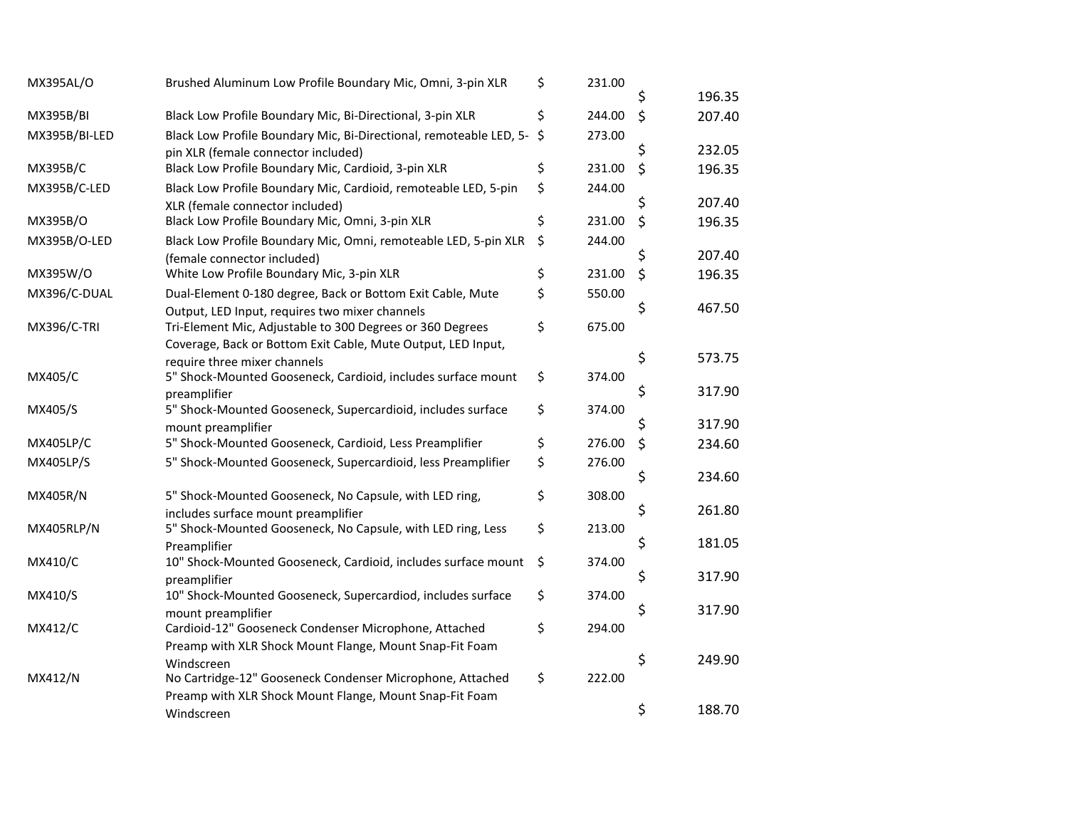| \$<br>231.00                                                         |                                                                                                                                                                                            |                                                                                              |
|----------------------------------------------------------------------|--------------------------------------------------------------------------------------------------------------------------------------------------------------------------------------------|----------------------------------------------------------------------------------------------|
|                                                                      | Ś                                                                                                                                                                                          | 196.35                                                                                       |
| \$                                                                   |                                                                                                                                                                                            | 207.40                                                                                       |
| \$                                                                   |                                                                                                                                                                                            |                                                                                              |
|                                                                      |                                                                                                                                                                                            | 232.05                                                                                       |
|                                                                      |                                                                                                                                                                                            | 196.35                                                                                       |
| \$                                                                   |                                                                                                                                                                                            |                                                                                              |
|                                                                      |                                                                                                                                                                                            | 207.40                                                                                       |
|                                                                      |                                                                                                                                                                                            | 196.35                                                                                       |
|                                                                      |                                                                                                                                                                                            |                                                                                              |
|                                                                      |                                                                                                                                                                                            | 207.40                                                                                       |
|                                                                      |                                                                                                                                                                                            | 196.35                                                                                       |
|                                                                      |                                                                                                                                                                                            |                                                                                              |
|                                                                      |                                                                                                                                                                                            | 467.50                                                                                       |
|                                                                      |                                                                                                                                                                                            |                                                                                              |
|                                                                      |                                                                                                                                                                                            | 573.75                                                                                       |
|                                                                      |                                                                                                                                                                                            |                                                                                              |
|                                                                      | \$                                                                                                                                                                                         | 317.90                                                                                       |
|                                                                      |                                                                                                                                                                                            |                                                                                              |
|                                                                      | \$                                                                                                                                                                                         | 317.90                                                                                       |
| \$                                                                   |                                                                                                                                                                                            | 234.60                                                                                       |
| \$                                                                   |                                                                                                                                                                                            |                                                                                              |
|                                                                      |                                                                                                                                                                                            | 234.60                                                                                       |
| \$                                                                   |                                                                                                                                                                                            |                                                                                              |
|                                                                      |                                                                                                                                                                                            | 261.80                                                                                       |
|                                                                      |                                                                                                                                                                                            |                                                                                              |
|                                                                      |                                                                                                                                                                                            | 181.05                                                                                       |
|                                                                      |                                                                                                                                                                                            | 317.90                                                                                       |
|                                                                      |                                                                                                                                                                                            |                                                                                              |
|                                                                      |                                                                                                                                                                                            | 317.90                                                                                       |
|                                                                      |                                                                                                                                                                                            |                                                                                              |
|                                                                      |                                                                                                                                                                                            |                                                                                              |
|                                                                      | \$                                                                                                                                                                                         | 249.90                                                                                       |
| \$                                                                   |                                                                                                                                                                                            |                                                                                              |
|                                                                      |                                                                                                                                                                                            |                                                                                              |
|                                                                      |                                                                                                                                                                                            | 188.70                                                                                       |
| \$<br>\$<br>\$<br>\$<br>\$<br>\$<br>\$<br>\$<br>\$<br>\$<br>\$<br>\$ | 244.00<br>273.00<br>231.00<br>244.00<br>231.00<br>244.00<br>231.00<br>550.00<br>675.00<br>374.00<br>374.00<br>276.00<br>276.00<br>308.00<br>213.00<br>374.00<br>374.00<br>294.00<br>222.00 | \$<br>\$<br>\$<br>\$<br>\$<br>\$<br>\$<br>\$<br>\$<br>\$<br>\$<br>\$<br>\$<br>\$<br>\$<br>\$ |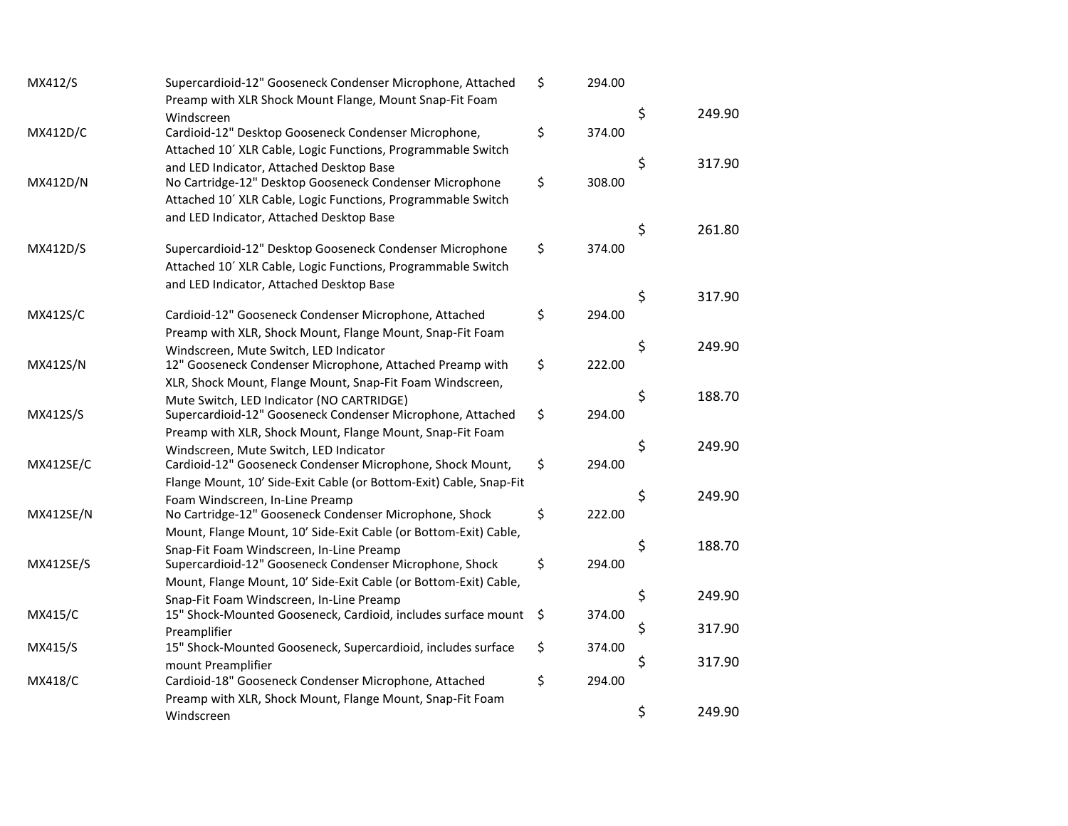| MX412/S          | Supercardioid-12" Gooseneck Condenser Microphone, Attached                                         | \$<br>294.00 |              |
|------------------|----------------------------------------------------------------------------------------------------|--------------|--------------|
|                  | Preamp with XLR Shock Mount Flange, Mount Snap-Fit Foam                                            |              |              |
|                  | Windscreen                                                                                         |              | \$<br>249.90 |
| <b>MX412D/C</b>  | Cardioid-12" Desktop Gooseneck Condenser Microphone,                                               | \$<br>374.00 |              |
|                  | Attached 10' XLR Cable, Logic Functions, Programmable Switch                                       |              |              |
|                  | and LED Indicator, Attached Desktop Base                                                           |              | \$<br>317.90 |
| MX412D/N         | No Cartridge-12" Desktop Gooseneck Condenser Microphone                                            | \$<br>308.00 |              |
|                  | Attached 10' XLR Cable, Logic Functions, Programmable Switch                                       |              |              |
|                  | and LED Indicator, Attached Desktop Base                                                           |              |              |
|                  |                                                                                                    |              | \$<br>261.80 |
| MX412D/S         | Supercardioid-12" Desktop Gooseneck Condenser Microphone                                           | \$<br>374.00 |              |
|                  | Attached 10' XLR Cable, Logic Functions, Programmable Switch                                       |              |              |
|                  | and LED Indicator, Attached Desktop Base                                                           |              | \$<br>317.90 |
|                  | Cardioid-12" Gooseneck Condenser Microphone, Attached                                              | \$<br>294.00 |              |
| MX412S/C         |                                                                                                    |              |              |
|                  | Preamp with XLR, Shock Mount, Flange Mount, Snap-Fit Foam                                          |              | \$<br>249.90 |
| MX412S/N         | Windscreen, Mute Switch, LED Indicator<br>12" Gooseneck Condenser Microphone, Attached Preamp with | \$<br>222.00 |              |
|                  | XLR, Shock Mount, Flange Mount, Snap-Fit Foam Windscreen,                                          |              |              |
|                  | Mute Switch, LED Indicator (NO CARTRIDGE)                                                          |              | \$<br>188.70 |
| MX412S/S         | Supercardioid-12" Gooseneck Condenser Microphone, Attached                                         | \$<br>294.00 |              |
|                  | Preamp with XLR, Shock Mount, Flange Mount, Snap-Fit Foam                                          |              |              |
|                  | Windscreen, Mute Switch, LED Indicator                                                             |              | \$<br>249.90 |
| <b>MX412SE/C</b> | Cardioid-12" Gooseneck Condenser Microphone, Shock Mount,                                          | \$<br>294.00 |              |
|                  | Flange Mount, 10' Side-Exit Cable (or Bottom-Exit) Cable, Snap-Fit                                 |              |              |
|                  | Foam Windscreen, In-Line Preamp                                                                    |              | \$<br>249.90 |
| <b>MX412SE/N</b> | No Cartridge-12" Gooseneck Condenser Microphone, Shock                                             | \$<br>222.00 |              |
|                  | Mount, Flange Mount, 10' Side-Exit Cable (or Bottom-Exit) Cable,                                   |              |              |
|                  | Snap-Fit Foam Windscreen, In-Line Preamp                                                           |              | \$<br>188.70 |
| <b>MX412SE/S</b> | Supercardioid-12" Gooseneck Condenser Microphone, Shock                                            | \$<br>294.00 |              |
|                  | Mount, Flange Mount, 10' Side-Exit Cable (or Bottom-Exit) Cable,                                   |              |              |
|                  | Snap-Fit Foam Windscreen, In-Line Preamp                                                           |              | \$<br>249.90 |
| MX415/C          | 15" Shock-Mounted Gooseneck, Cardioid, includes surface mount                                      | \$<br>374.00 |              |
|                  | Preamplifier                                                                                       |              | \$<br>317.90 |
| MX415/S          | 15" Shock-Mounted Gooseneck, Supercardioid, includes surface                                       | \$<br>374.00 |              |
|                  | mount Preamplifier                                                                                 |              | \$<br>317.90 |
| <b>MX418/C</b>   | Cardioid-18" Gooseneck Condenser Microphone, Attached                                              | \$<br>294.00 |              |
|                  | Preamp with XLR, Shock Mount, Flange Mount, Snap-Fit Foam                                          |              |              |
|                  | Windscreen                                                                                         |              | \$<br>249.90 |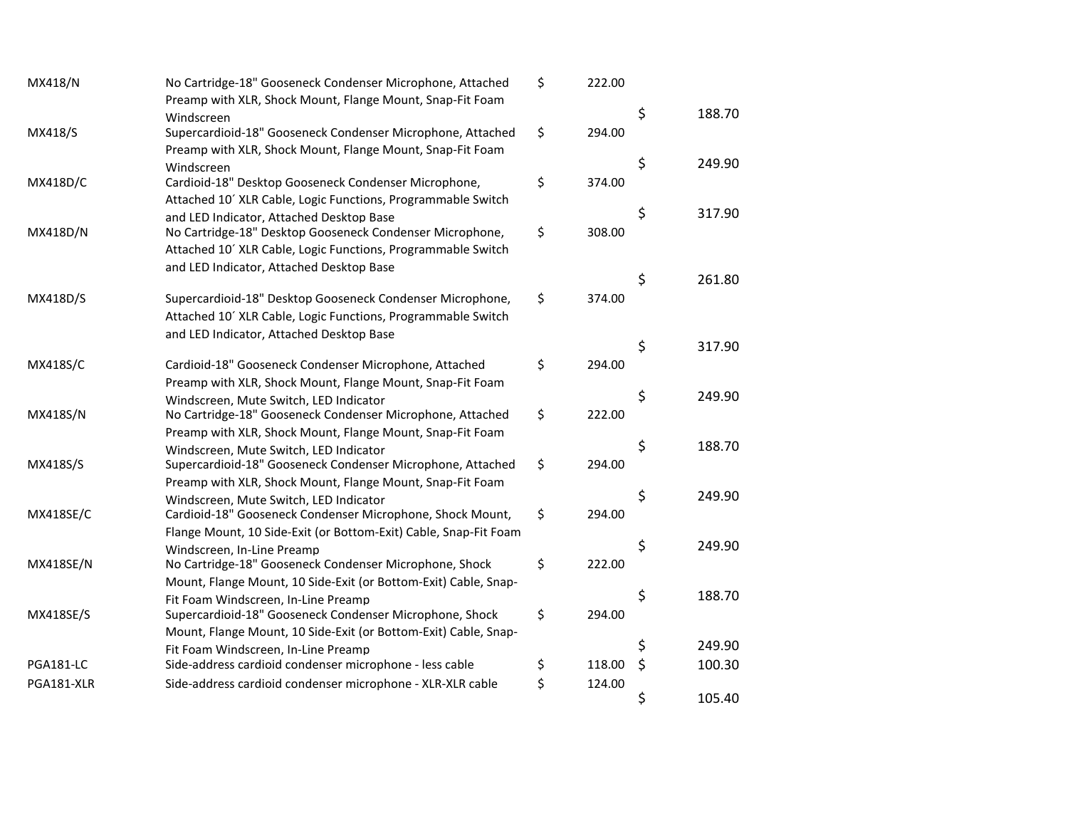| MX418/N          | No Cartridge-18" Gooseneck Condenser Microphone, Attached        | \$<br>222.00 |         |        |
|------------------|------------------------------------------------------------------|--------------|---------|--------|
|                  | Preamp with XLR, Shock Mount, Flange Mount, Snap-Fit Foam        |              |         |        |
|                  | Windscreen                                                       |              | \$      | 188.70 |
| MX418/S          | Supercardioid-18" Gooseneck Condenser Microphone, Attached       | \$<br>294.00 |         |        |
|                  | Preamp with XLR, Shock Mount, Flange Mount, Snap-Fit Foam        |              | \$      | 249.90 |
|                  | Windscreen                                                       | \$<br>374.00 |         |        |
| MX418D/C         | Cardioid-18" Desktop Gooseneck Condenser Microphone,             |              |         |        |
|                  | Attached 10' XLR Cable, Logic Functions, Programmable Switch     |              | \$      | 317.90 |
|                  | and LED Indicator, Attached Desktop Base                         | \$<br>308.00 |         |        |
| MX418D/N         | No Cartridge-18" Desktop Gooseneck Condenser Microphone,         |              |         |        |
|                  | Attached 10' XLR Cable, Logic Functions, Programmable Switch     |              |         |        |
|                  | and LED Indicator, Attached Desktop Base                         |              | \$      | 261.80 |
| MX418D/S         | Supercardioid-18" Desktop Gooseneck Condenser Microphone,        | \$<br>374.00 |         |        |
|                  | Attached 10' XLR Cable, Logic Functions, Programmable Switch     |              |         |        |
|                  | and LED Indicator, Attached Desktop Base                         |              |         |        |
|                  |                                                                  |              | \$      | 317.90 |
| <b>MX418S/C</b>  | Cardioid-18" Gooseneck Condenser Microphone, Attached            | \$<br>294.00 |         |        |
|                  | Preamp with XLR, Shock Mount, Flange Mount, Snap-Fit Foam        |              |         |        |
|                  | Windscreen, Mute Switch, LED Indicator                           |              | \$      | 249.90 |
| MX418S/N         | No Cartridge-18" Gooseneck Condenser Microphone, Attached        | \$<br>222.00 |         |        |
|                  | Preamp with XLR, Shock Mount, Flange Mount, Snap-Fit Foam        |              |         |        |
|                  | Windscreen, Mute Switch, LED Indicator                           |              | \$      | 188.70 |
| MX418S/S         | Supercardioid-18" Gooseneck Condenser Microphone, Attached       | \$<br>294.00 |         |        |
|                  | Preamp with XLR, Shock Mount, Flange Mount, Snap-Fit Foam        |              |         |        |
|                  | Windscreen, Mute Switch, LED Indicator                           |              | \$      | 249.90 |
| <b>MX418SE/C</b> | Cardioid-18" Gooseneck Condenser Microphone, Shock Mount,        | \$<br>294.00 |         |        |
|                  | Flange Mount, 10 Side-Exit (or Bottom-Exit) Cable, Snap-Fit Foam |              |         |        |
|                  | Windscreen, In-Line Preamp                                       |              | \$      | 249.90 |
| <b>MX418SE/N</b> | No Cartridge-18" Gooseneck Condenser Microphone, Shock           | \$<br>222.00 |         |        |
|                  | Mount, Flange Mount, 10 Side-Exit (or Bottom-Exit) Cable, Snap-  |              |         |        |
|                  | Fit Foam Windscreen, In-Line Preamp                              |              | \$      | 188.70 |
| <b>MX418SE/S</b> | Supercardioid-18" Gooseneck Condenser Microphone, Shock          | \$<br>294.00 |         |        |
|                  | Mount, Flange Mount, 10 Side-Exit (or Bottom-Exit) Cable, Snap-  |              |         |        |
|                  | Fit Foam Windscreen, In-Line Preamp                              |              | \$      | 249.90 |
| PGA181-LC        | Side-address cardioid condenser microphone - less cable          | \$<br>118.00 | $\zeta$ | 100.30 |
| PGA181-XLR       | Side-address cardioid condenser microphone - XLR-XLR cable       | \$<br>124.00 |         |        |
|                  |                                                                  |              | \$      | 105.40 |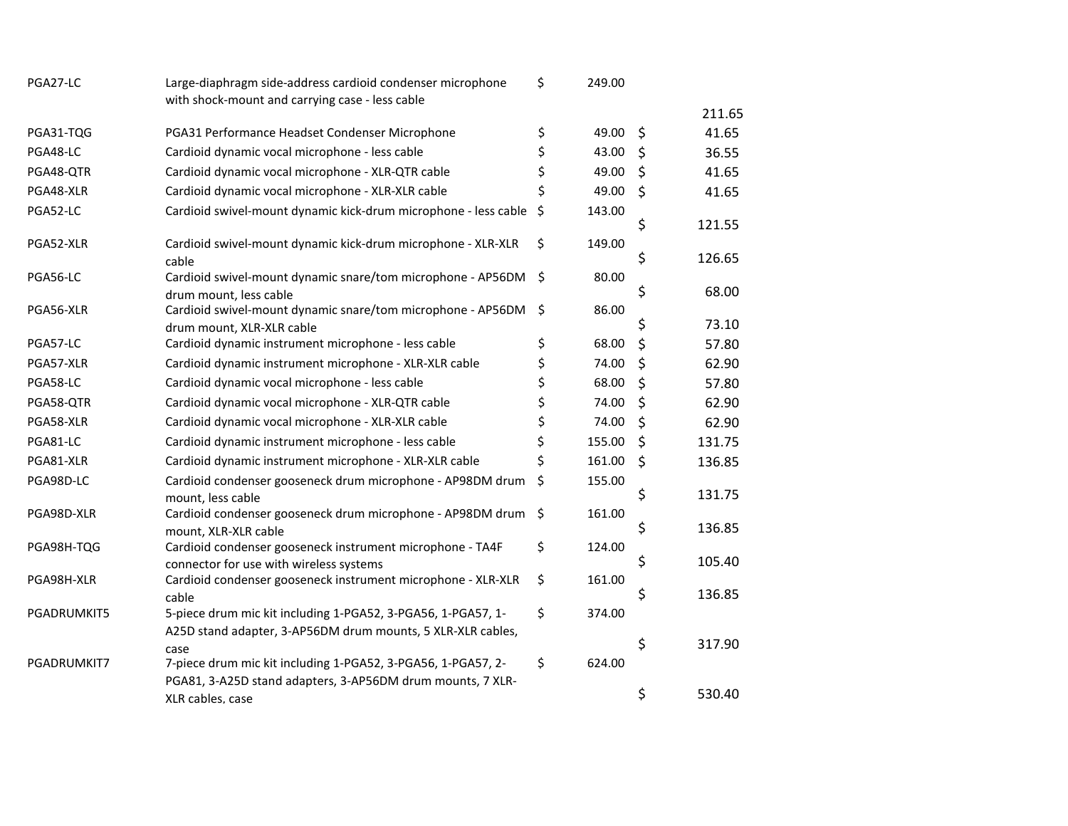| PGA27-LC    | Large-diaphragm side-address cardioid condenser microphone                                              | \$      | 249.00 |              |
|-------------|---------------------------------------------------------------------------------------------------------|---------|--------|--------------|
|             | with shock-mount and carrying case - less cable                                                         |         |        | 211.65       |
| PGA31-TQG   | PGA31 Performance Headset Condenser Microphone                                                          | \$      | 49.00  | \$<br>41.65  |
| PGA48-LC    | Cardioid dynamic vocal microphone - less cable                                                          | \$      | 43.00  | \$<br>36.55  |
| PGA48-QTR   | Cardioid dynamic vocal microphone - XLR-QTR cable                                                       | \$      | 49.00  | \$<br>41.65  |
| PGA48-XLR   | Cardioid dynamic vocal microphone - XLR-XLR cable                                                       | \$      | 49.00  | \$<br>41.65  |
| PGA52-LC    | Cardioid swivel-mount dynamic kick-drum microphone - less cable                                         | \$      | 143.00 |              |
|             |                                                                                                         |         |        | \$<br>121.55 |
| PGA52-XLR   | Cardioid swivel-mount dynamic kick-drum microphone - XLR-XLR<br>cable                                   | \$      | 149.00 | \$<br>126.65 |
| PGA56-LC    | Cardioid swivel-mount dynamic snare/tom microphone - AP56DM                                             | \$      | 80.00  |              |
|             | drum mount, less cable                                                                                  |         |        | \$<br>68.00  |
| PGA56-XLR   | Cardioid swivel-mount dynamic snare/tom microphone - AP56DM                                             | \$      | 86.00  |              |
|             | drum mount, XLR-XLR cable                                                                               |         |        | \$<br>73.10  |
| PGA57-LC    | Cardioid dynamic instrument microphone - less cable                                                     | \$      | 68.00  | \$<br>57.80  |
| PGA57-XLR   | Cardioid dynamic instrument microphone - XLR-XLR cable                                                  | \$      | 74.00  | \$<br>62.90  |
| PGA58-LC    | Cardioid dynamic vocal microphone - less cable                                                          | \$      | 68.00  | \$<br>57.80  |
| PGA58-QTR   | Cardioid dynamic vocal microphone - XLR-QTR cable                                                       | \$      | 74.00  | \$<br>62.90  |
| PGA58-XLR   | Cardioid dynamic vocal microphone - XLR-XLR cable                                                       | \$      | 74.00  | \$<br>62.90  |
| PGA81-LC    | Cardioid dynamic instrument microphone - less cable                                                     | \$      | 155.00 | \$<br>131.75 |
| PGA81-XLR   | Cardioid dynamic instrument microphone - XLR-XLR cable                                                  | \$      | 161.00 | \$<br>136.85 |
| PGA98D-LC   | Cardioid condenser gooseneck drum microphone - AP98DM drum                                              | \$      | 155.00 |              |
|             | mount, less cable                                                                                       |         |        | \$<br>131.75 |
| PGA98D-XLR  | Cardioid condenser gooseneck drum microphone - AP98DM drum                                              | $\zeta$ | 161.00 |              |
|             | mount, XLR-XLR cable                                                                                    |         |        | \$<br>136.85 |
| PGA98H-TQG  | Cardioid condenser gooseneck instrument microphone - TA4F                                               | \$      | 124.00 | \$<br>105.40 |
| PGA98H-XLR  | connector for use with wireless systems<br>Cardioid condenser gooseneck instrument microphone - XLR-XLR | \$      | 161.00 |              |
|             | cable                                                                                                   |         |        | \$<br>136.85 |
| PGADRUMKIT5 | 5-piece drum mic kit including 1-PGA52, 3-PGA56, 1-PGA57, 1-                                            | \$      | 374.00 |              |
|             | A25D stand adapter, 3-AP56DM drum mounts, 5 XLR-XLR cables,                                             |         |        |              |
|             | case                                                                                                    |         |        | \$<br>317.90 |
| PGADRUMKIT7 | 7-piece drum mic kit including 1-PGA52, 3-PGA56, 1-PGA57, 2-                                            | \$      | 624.00 |              |
|             | PGA81, 3-A25D stand adapters, 3-AP56DM drum mounts, 7 XLR-                                              |         |        |              |
|             | XLR cables, case                                                                                        |         |        | \$<br>530.40 |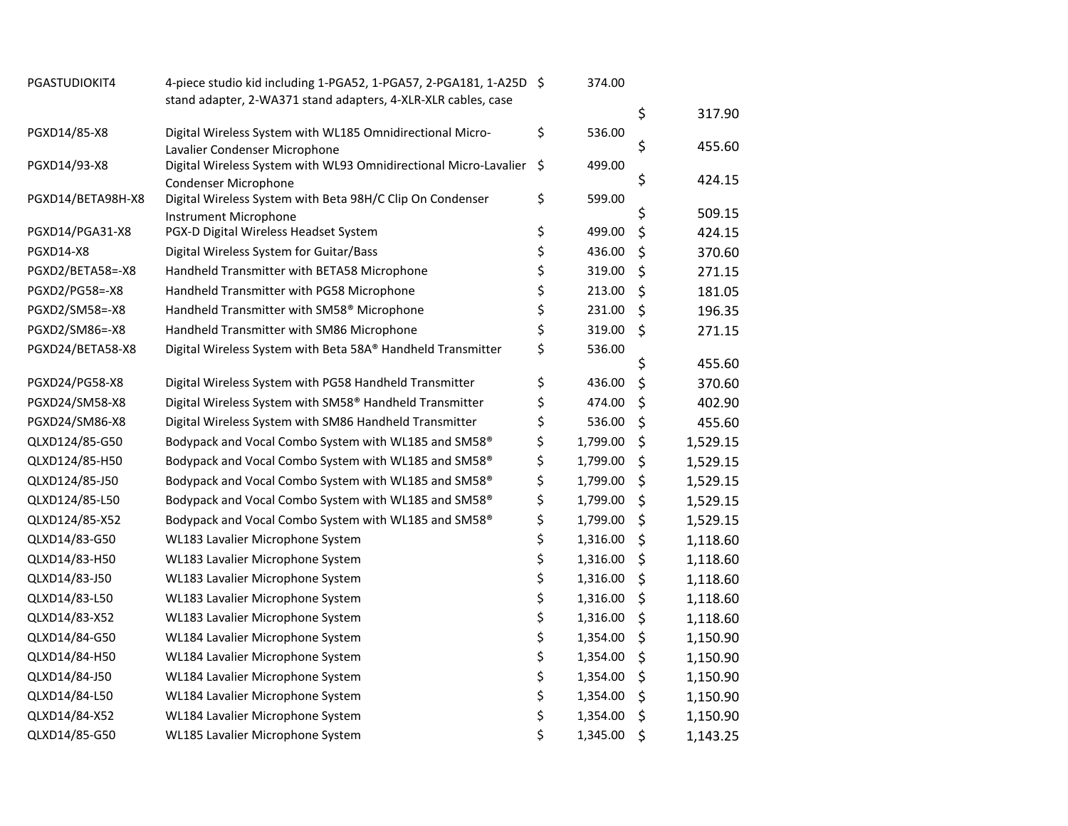| stand adapter, 2-WA371 stand adapters, 4-XLR-XLR cables, case<br>\$<br>317.90<br>\$<br>536.00<br>PGXD14/85-X8<br>Digital Wireless System with WL185 Omnidirectional Micro-<br>\$<br>455.60<br>Lavalier Condenser Microphone<br>PGXD14/93-X8<br>Digital Wireless System with WL93 Omnidirectional Micro-Lavalier<br>\$<br>499.00<br>\$<br>424.15<br><b>Condenser Microphone</b><br>\$<br>Digital Wireless System with Beta 98H/C Clip On Condenser<br>599.00<br>PGXD14/BETA98H-X8<br>\$<br>509.15<br>Instrument Microphone<br>\$<br>\$<br>499.00<br>PGXD14/PGA31-X8<br>PGX-D Digital Wireless Headset System<br>424.15<br>\$<br>\$<br><b>PGXD14-X8</b><br>Digital Wireless System for Guitar/Bass<br>436.00<br>370.60<br>\$<br>\$<br>Handheld Transmitter with BETA58 Microphone<br>319.00<br>PGXD2/BETA58=-X8<br>271.15<br>\$<br>\$<br>Handheld Transmitter with PG58 Microphone<br>213.00<br>PGXD2/PG58=-X8<br>181.05<br>\$<br>Handheld Transmitter with SM58 <sup>®</sup> Microphone<br>\$<br>PGXD2/SM58=-X8<br>231.00<br>196.35<br>\$<br>\$<br>PGXD2/SM86=-X8<br>Handheld Transmitter with SM86 Microphone<br>319.00<br>271.15<br>\$<br>Digital Wireless System with Beta 58A® Handheld Transmitter<br>PGXD24/BETA58-X8<br>536.00<br>\$<br>455.60<br>\$<br>\$<br>PGXD24/PG58-X8<br>436.00<br>Digital Wireless System with PG58 Handheld Transmitter<br>370.60<br>\$<br>\$<br>PGXD24/SM58-X8<br>Digital Wireless System with SM58 <sup>®</sup> Handheld Transmitter<br>474.00<br>402.90<br>\$<br>\$<br>PGXD24/SM86-X8<br>536.00<br>Digital Wireless System with SM86 Handheld Transmitter<br>455.60<br>\$<br>QLXD124/85-G50<br>Bodypack and Vocal Combo System with WL185 and SM58 <sup>®</sup><br>1,799.00<br>\$<br>1,529.15<br>\$<br>\$<br>QLXD124/85-H50<br>1,799.00<br>Bodypack and Vocal Combo System with WL185 and SM58 <sup>®</sup><br>1,529.15<br>\$<br>\$<br>QLXD124/85-J50<br>Bodypack and Vocal Combo System with WL185 and SM58 <sup>®</sup><br>1,799.00<br>1,529.15<br>\$<br>\$<br>QLXD124/85-L50<br>Bodypack and Vocal Combo System with WL185 and SM58 <sup>®</sup><br>1,799.00<br>1,529.15<br>\$<br>\$<br>QLXD124/85-X52<br>Bodypack and Vocal Combo System with WL185 and SM58 <sup>®</sup><br>1,799.00<br>1,529.15<br>\$<br>\$<br>QLXD14/83-G50<br>WL183 Lavalier Microphone System<br>1,316.00<br>1,118.60<br>\$<br>\$<br>QLXD14/83-H50<br>1,316.00<br>WL183 Lavalier Microphone System<br>1,118.60<br>\$<br>QLXD14/83-J50<br>\$<br>WL183 Lavalier Microphone System<br>1,316.00<br>1,118.60<br>\$<br>QLXD14/83-L50<br>1,316.00<br>\$<br>WL183 Lavalier Microphone System<br>1,118.60<br>\$<br>QLXD14/83-X52<br>1,316.00<br>\$<br>WL183 Lavalier Microphone System<br>1,118.60<br>\$<br>QLXD14/84-G50<br>\$<br>WL184 Lavalier Microphone System<br>1,354.00<br>1,150.90<br>\$<br>QLXD14/84-H50<br>1,354.00<br>\$<br>WL184 Lavalier Microphone System<br>1,150.90<br>\$<br>QLXD14/84-J50<br>WL184 Lavalier Microphone System<br>1,354.00<br>\$<br>1,150.90<br>\$<br>\$<br>QLXD14/84-L50<br>WL184 Lavalier Microphone System<br>1,354.00<br>1,150.90<br>\$<br>\$<br>QLXD14/84-X52<br>WL184 Lavalier Microphone System<br>1,354.00<br>1,150.90 | PGASTUDIOKIT4 | 4-piece studio kid including 1-PGA52, 1-PGA57, 2-PGA181, 1-A25D \$ | 374.00         |                |
|-------------------------------------------------------------------------------------------------------------------------------------------------------------------------------------------------------------------------------------------------------------------------------------------------------------------------------------------------------------------------------------------------------------------------------------------------------------------------------------------------------------------------------------------------------------------------------------------------------------------------------------------------------------------------------------------------------------------------------------------------------------------------------------------------------------------------------------------------------------------------------------------------------------------------------------------------------------------------------------------------------------------------------------------------------------------------------------------------------------------------------------------------------------------------------------------------------------------------------------------------------------------------------------------------------------------------------------------------------------------------------------------------------------------------------------------------------------------------------------------------------------------------------------------------------------------------------------------------------------------------------------------------------------------------------------------------------------------------------------------------------------------------------------------------------------------------------------------------------------------------------------------------------------------------------------------------------------------------------------------------------------------------------------------------------------------------------------------------------------------------------------------------------------------------------------------------------------------------------------------------------------------------------------------------------------------------------------------------------------------------------------------------------------------------------------------------------------------------------------------------------------------------------------------------------------------------------------------------------------------------------------------------------------------------------------------------------------------------------------------------------------------------------------------------------------------------------------------------------------------------------------------------------------------------------------------------------------------------------------------------------------------------------------------------------------------------------------------------------------------------------------------------------------------|---------------|--------------------------------------------------------------------|----------------|----------------|
|                                                                                                                                                                                                                                                                                                                                                                                                                                                                                                                                                                                                                                                                                                                                                                                                                                                                                                                                                                                                                                                                                                                                                                                                                                                                                                                                                                                                                                                                                                                                                                                                                                                                                                                                                                                                                                                                                                                                                                                                                                                                                                                                                                                                                                                                                                                                                                                                                                                                                                                                                                                                                                                                                                                                                                                                                                                                                                                                                                                                                                                                                                                                                                   |               |                                                                    |                |                |
|                                                                                                                                                                                                                                                                                                                                                                                                                                                                                                                                                                                                                                                                                                                                                                                                                                                                                                                                                                                                                                                                                                                                                                                                                                                                                                                                                                                                                                                                                                                                                                                                                                                                                                                                                                                                                                                                                                                                                                                                                                                                                                                                                                                                                                                                                                                                                                                                                                                                                                                                                                                                                                                                                                                                                                                                                                                                                                                                                                                                                                                                                                                                                                   |               |                                                                    |                |                |
|                                                                                                                                                                                                                                                                                                                                                                                                                                                                                                                                                                                                                                                                                                                                                                                                                                                                                                                                                                                                                                                                                                                                                                                                                                                                                                                                                                                                                                                                                                                                                                                                                                                                                                                                                                                                                                                                                                                                                                                                                                                                                                                                                                                                                                                                                                                                                                                                                                                                                                                                                                                                                                                                                                                                                                                                                                                                                                                                                                                                                                                                                                                                                                   |               |                                                                    |                |                |
|                                                                                                                                                                                                                                                                                                                                                                                                                                                                                                                                                                                                                                                                                                                                                                                                                                                                                                                                                                                                                                                                                                                                                                                                                                                                                                                                                                                                                                                                                                                                                                                                                                                                                                                                                                                                                                                                                                                                                                                                                                                                                                                                                                                                                                                                                                                                                                                                                                                                                                                                                                                                                                                                                                                                                                                                                                                                                                                                                                                                                                                                                                                                                                   |               |                                                                    |                |                |
|                                                                                                                                                                                                                                                                                                                                                                                                                                                                                                                                                                                                                                                                                                                                                                                                                                                                                                                                                                                                                                                                                                                                                                                                                                                                                                                                                                                                                                                                                                                                                                                                                                                                                                                                                                                                                                                                                                                                                                                                                                                                                                                                                                                                                                                                                                                                                                                                                                                                                                                                                                                                                                                                                                                                                                                                                                                                                                                                                                                                                                                                                                                                                                   |               |                                                                    |                |                |
|                                                                                                                                                                                                                                                                                                                                                                                                                                                                                                                                                                                                                                                                                                                                                                                                                                                                                                                                                                                                                                                                                                                                                                                                                                                                                                                                                                                                                                                                                                                                                                                                                                                                                                                                                                                                                                                                                                                                                                                                                                                                                                                                                                                                                                                                                                                                                                                                                                                                                                                                                                                                                                                                                                                                                                                                                                                                                                                                                                                                                                                                                                                                                                   |               |                                                                    |                |                |
|                                                                                                                                                                                                                                                                                                                                                                                                                                                                                                                                                                                                                                                                                                                                                                                                                                                                                                                                                                                                                                                                                                                                                                                                                                                                                                                                                                                                                                                                                                                                                                                                                                                                                                                                                                                                                                                                                                                                                                                                                                                                                                                                                                                                                                                                                                                                                                                                                                                                                                                                                                                                                                                                                                                                                                                                                                                                                                                                                                                                                                                                                                                                                                   |               |                                                                    |                |                |
|                                                                                                                                                                                                                                                                                                                                                                                                                                                                                                                                                                                                                                                                                                                                                                                                                                                                                                                                                                                                                                                                                                                                                                                                                                                                                                                                                                                                                                                                                                                                                                                                                                                                                                                                                                                                                                                                                                                                                                                                                                                                                                                                                                                                                                                                                                                                                                                                                                                                                                                                                                                                                                                                                                                                                                                                                                                                                                                                                                                                                                                                                                                                                                   |               |                                                                    |                |                |
|                                                                                                                                                                                                                                                                                                                                                                                                                                                                                                                                                                                                                                                                                                                                                                                                                                                                                                                                                                                                                                                                                                                                                                                                                                                                                                                                                                                                                                                                                                                                                                                                                                                                                                                                                                                                                                                                                                                                                                                                                                                                                                                                                                                                                                                                                                                                                                                                                                                                                                                                                                                                                                                                                                                                                                                                                                                                                                                                                                                                                                                                                                                                                                   |               |                                                                    |                |                |
|                                                                                                                                                                                                                                                                                                                                                                                                                                                                                                                                                                                                                                                                                                                                                                                                                                                                                                                                                                                                                                                                                                                                                                                                                                                                                                                                                                                                                                                                                                                                                                                                                                                                                                                                                                                                                                                                                                                                                                                                                                                                                                                                                                                                                                                                                                                                                                                                                                                                                                                                                                                                                                                                                                                                                                                                                                                                                                                                                                                                                                                                                                                                                                   |               |                                                                    |                |                |
|                                                                                                                                                                                                                                                                                                                                                                                                                                                                                                                                                                                                                                                                                                                                                                                                                                                                                                                                                                                                                                                                                                                                                                                                                                                                                                                                                                                                                                                                                                                                                                                                                                                                                                                                                                                                                                                                                                                                                                                                                                                                                                                                                                                                                                                                                                                                                                                                                                                                                                                                                                                                                                                                                                                                                                                                                                                                                                                                                                                                                                                                                                                                                                   |               |                                                                    |                |                |
|                                                                                                                                                                                                                                                                                                                                                                                                                                                                                                                                                                                                                                                                                                                                                                                                                                                                                                                                                                                                                                                                                                                                                                                                                                                                                                                                                                                                                                                                                                                                                                                                                                                                                                                                                                                                                                                                                                                                                                                                                                                                                                                                                                                                                                                                                                                                                                                                                                                                                                                                                                                                                                                                                                                                                                                                                                                                                                                                                                                                                                                                                                                                                                   |               |                                                                    |                |                |
|                                                                                                                                                                                                                                                                                                                                                                                                                                                                                                                                                                                                                                                                                                                                                                                                                                                                                                                                                                                                                                                                                                                                                                                                                                                                                                                                                                                                                                                                                                                                                                                                                                                                                                                                                                                                                                                                                                                                                                                                                                                                                                                                                                                                                                                                                                                                                                                                                                                                                                                                                                                                                                                                                                                                                                                                                                                                                                                                                                                                                                                                                                                                                                   |               |                                                                    |                |                |
|                                                                                                                                                                                                                                                                                                                                                                                                                                                                                                                                                                                                                                                                                                                                                                                                                                                                                                                                                                                                                                                                                                                                                                                                                                                                                                                                                                                                                                                                                                                                                                                                                                                                                                                                                                                                                                                                                                                                                                                                                                                                                                                                                                                                                                                                                                                                                                                                                                                                                                                                                                                                                                                                                                                                                                                                                                                                                                                                                                                                                                                                                                                                                                   |               |                                                                    |                |                |
|                                                                                                                                                                                                                                                                                                                                                                                                                                                                                                                                                                                                                                                                                                                                                                                                                                                                                                                                                                                                                                                                                                                                                                                                                                                                                                                                                                                                                                                                                                                                                                                                                                                                                                                                                                                                                                                                                                                                                                                                                                                                                                                                                                                                                                                                                                                                                                                                                                                                                                                                                                                                                                                                                                                                                                                                                                                                                                                                                                                                                                                                                                                                                                   |               |                                                                    |                |                |
|                                                                                                                                                                                                                                                                                                                                                                                                                                                                                                                                                                                                                                                                                                                                                                                                                                                                                                                                                                                                                                                                                                                                                                                                                                                                                                                                                                                                                                                                                                                                                                                                                                                                                                                                                                                                                                                                                                                                                                                                                                                                                                                                                                                                                                                                                                                                                                                                                                                                                                                                                                                                                                                                                                                                                                                                                                                                                                                                                                                                                                                                                                                                                                   |               |                                                                    |                |                |
|                                                                                                                                                                                                                                                                                                                                                                                                                                                                                                                                                                                                                                                                                                                                                                                                                                                                                                                                                                                                                                                                                                                                                                                                                                                                                                                                                                                                                                                                                                                                                                                                                                                                                                                                                                                                                                                                                                                                                                                                                                                                                                                                                                                                                                                                                                                                                                                                                                                                                                                                                                                                                                                                                                                                                                                                                                                                                                                                                                                                                                                                                                                                                                   |               |                                                                    |                |                |
|                                                                                                                                                                                                                                                                                                                                                                                                                                                                                                                                                                                                                                                                                                                                                                                                                                                                                                                                                                                                                                                                                                                                                                                                                                                                                                                                                                                                                                                                                                                                                                                                                                                                                                                                                                                                                                                                                                                                                                                                                                                                                                                                                                                                                                                                                                                                                                                                                                                                                                                                                                                                                                                                                                                                                                                                                                                                                                                                                                                                                                                                                                                                                                   |               |                                                                    |                |                |
|                                                                                                                                                                                                                                                                                                                                                                                                                                                                                                                                                                                                                                                                                                                                                                                                                                                                                                                                                                                                                                                                                                                                                                                                                                                                                                                                                                                                                                                                                                                                                                                                                                                                                                                                                                                                                                                                                                                                                                                                                                                                                                                                                                                                                                                                                                                                                                                                                                                                                                                                                                                                                                                                                                                                                                                                                                                                                                                                                                                                                                                                                                                                                                   |               |                                                                    |                |                |
|                                                                                                                                                                                                                                                                                                                                                                                                                                                                                                                                                                                                                                                                                                                                                                                                                                                                                                                                                                                                                                                                                                                                                                                                                                                                                                                                                                                                                                                                                                                                                                                                                                                                                                                                                                                                                                                                                                                                                                                                                                                                                                                                                                                                                                                                                                                                                                                                                                                                                                                                                                                                                                                                                                                                                                                                                                                                                                                                                                                                                                                                                                                                                                   |               |                                                                    |                |                |
|                                                                                                                                                                                                                                                                                                                                                                                                                                                                                                                                                                                                                                                                                                                                                                                                                                                                                                                                                                                                                                                                                                                                                                                                                                                                                                                                                                                                                                                                                                                                                                                                                                                                                                                                                                                                                                                                                                                                                                                                                                                                                                                                                                                                                                                                                                                                                                                                                                                                                                                                                                                                                                                                                                                                                                                                                                                                                                                                                                                                                                                                                                                                                                   |               |                                                                    |                |                |
|                                                                                                                                                                                                                                                                                                                                                                                                                                                                                                                                                                                                                                                                                                                                                                                                                                                                                                                                                                                                                                                                                                                                                                                                                                                                                                                                                                                                                                                                                                                                                                                                                                                                                                                                                                                                                                                                                                                                                                                                                                                                                                                                                                                                                                                                                                                                                                                                                                                                                                                                                                                                                                                                                                                                                                                                                                                                                                                                                                                                                                                                                                                                                                   |               |                                                                    |                |                |
|                                                                                                                                                                                                                                                                                                                                                                                                                                                                                                                                                                                                                                                                                                                                                                                                                                                                                                                                                                                                                                                                                                                                                                                                                                                                                                                                                                                                                                                                                                                                                                                                                                                                                                                                                                                                                                                                                                                                                                                                                                                                                                                                                                                                                                                                                                                                                                                                                                                                                                                                                                                                                                                                                                                                                                                                                                                                                                                                                                                                                                                                                                                                                                   |               |                                                                    |                |                |
|                                                                                                                                                                                                                                                                                                                                                                                                                                                                                                                                                                                                                                                                                                                                                                                                                                                                                                                                                                                                                                                                                                                                                                                                                                                                                                                                                                                                                                                                                                                                                                                                                                                                                                                                                                                                                                                                                                                                                                                                                                                                                                                                                                                                                                                                                                                                                                                                                                                                                                                                                                                                                                                                                                                                                                                                                                                                                                                                                                                                                                                                                                                                                                   |               |                                                                    |                |                |
|                                                                                                                                                                                                                                                                                                                                                                                                                                                                                                                                                                                                                                                                                                                                                                                                                                                                                                                                                                                                                                                                                                                                                                                                                                                                                                                                                                                                                                                                                                                                                                                                                                                                                                                                                                                                                                                                                                                                                                                                                                                                                                                                                                                                                                                                                                                                                                                                                                                                                                                                                                                                                                                                                                                                                                                                                                                                                                                                                                                                                                                                                                                                                                   |               |                                                                    |                |                |
|                                                                                                                                                                                                                                                                                                                                                                                                                                                                                                                                                                                                                                                                                                                                                                                                                                                                                                                                                                                                                                                                                                                                                                                                                                                                                                                                                                                                                                                                                                                                                                                                                                                                                                                                                                                                                                                                                                                                                                                                                                                                                                                                                                                                                                                                                                                                                                                                                                                                                                                                                                                                                                                                                                                                                                                                                                                                                                                                                                                                                                                                                                                                                                   |               |                                                                    |                |                |
|                                                                                                                                                                                                                                                                                                                                                                                                                                                                                                                                                                                                                                                                                                                                                                                                                                                                                                                                                                                                                                                                                                                                                                                                                                                                                                                                                                                                                                                                                                                                                                                                                                                                                                                                                                                                                                                                                                                                                                                                                                                                                                                                                                                                                                                                                                                                                                                                                                                                                                                                                                                                                                                                                                                                                                                                                                                                                                                                                                                                                                                                                                                                                                   |               |                                                                    |                |                |
|                                                                                                                                                                                                                                                                                                                                                                                                                                                                                                                                                                                                                                                                                                                                                                                                                                                                                                                                                                                                                                                                                                                                                                                                                                                                                                                                                                                                                                                                                                                                                                                                                                                                                                                                                                                                                                                                                                                                                                                                                                                                                                                                                                                                                                                                                                                                                                                                                                                                                                                                                                                                                                                                                                                                                                                                                                                                                                                                                                                                                                                                                                                                                                   |               |                                                                    |                |                |
|                                                                                                                                                                                                                                                                                                                                                                                                                                                                                                                                                                                                                                                                                                                                                                                                                                                                                                                                                                                                                                                                                                                                                                                                                                                                                                                                                                                                                                                                                                                                                                                                                                                                                                                                                                                                                                                                                                                                                                                                                                                                                                                                                                                                                                                                                                                                                                                                                                                                                                                                                                                                                                                                                                                                                                                                                                                                                                                                                                                                                                                                                                                                                                   |               |                                                                    |                |                |
|                                                                                                                                                                                                                                                                                                                                                                                                                                                                                                                                                                                                                                                                                                                                                                                                                                                                                                                                                                                                                                                                                                                                                                                                                                                                                                                                                                                                                                                                                                                                                                                                                                                                                                                                                                                                                                                                                                                                                                                                                                                                                                                                                                                                                                                                                                                                                                                                                                                                                                                                                                                                                                                                                                                                                                                                                                                                                                                                                                                                                                                                                                                                                                   |               |                                                                    |                |                |
|                                                                                                                                                                                                                                                                                                                                                                                                                                                                                                                                                                                                                                                                                                                                                                                                                                                                                                                                                                                                                                                                                                                                                                                                                                                                                                                                                                                                                                                                                                                                                                                                                                                                                                                                                                                                                                                                                                                                                                                                                                                                                                                                                                                                                                                                                                                                                                                                                                                                                                                                                                                                                                                                                                                                                                                                                                                                                                                                                                                                                                                                                                                                                                   |               |                                                                    |                |                |
|                                                                                                                                                                                                                                                                                                                                                                                                                                                                                                                                                                                                                                                                                                                                                                                                                                                                                                                                                                                                                                                                                                                                                                                                                                                                                                                                                                                                                                                                                                                                                                                                                                                                                                                                                                                                                                                                                                                                                                                                                                                                                                                                                                                                                                                                                                                                                                                                                                                                                                                                                                                                                                                                                                                                                                                                                                                                                                                                                                                                                                                                                                                                                                   |               |                                                                    |                |                |
|                                                                                                                                                                                                                                                                                                                                                                                                                                                                                                                                                                                                                                                                                                                                                                                                                                                                                                                                                                                                                                                                                                                                                                                                                                                                                                                                                                                                                                                                                                                                                                                                                                                                                                                                                                                                                                                                                                                                                                                                                                                                                                                                                                                                                                                                                                                                                                                                                                                                                                                                                                                                                                                                                                                                                                                                                                                                                                                                                                                                                                                                                                                                                                   |               |                                                                    |                |                |
|                                                                                                                                                                                                                                                                                                                                                                                                                                                                                                                                                                                                                                                                                                                                                                                                                                                                                                                                                                                                                                                                                                                                                                                                                                                                                                                                                                                                                                                                                                                                                                                                                                                                                                                                                                                                                                                                                                                                                                                                                                                                                                                                                                                                                                                                                                                                                                                                                                                                                                                                                                                                                                                                                                                                                                                                                                                                                                                                                                                                                                                                                                                                                                   | QLXD14/85-G50 | WL185 Lavalier Microphone System                                   | \$<br>1,345.00 | \$<br>1,143.25 |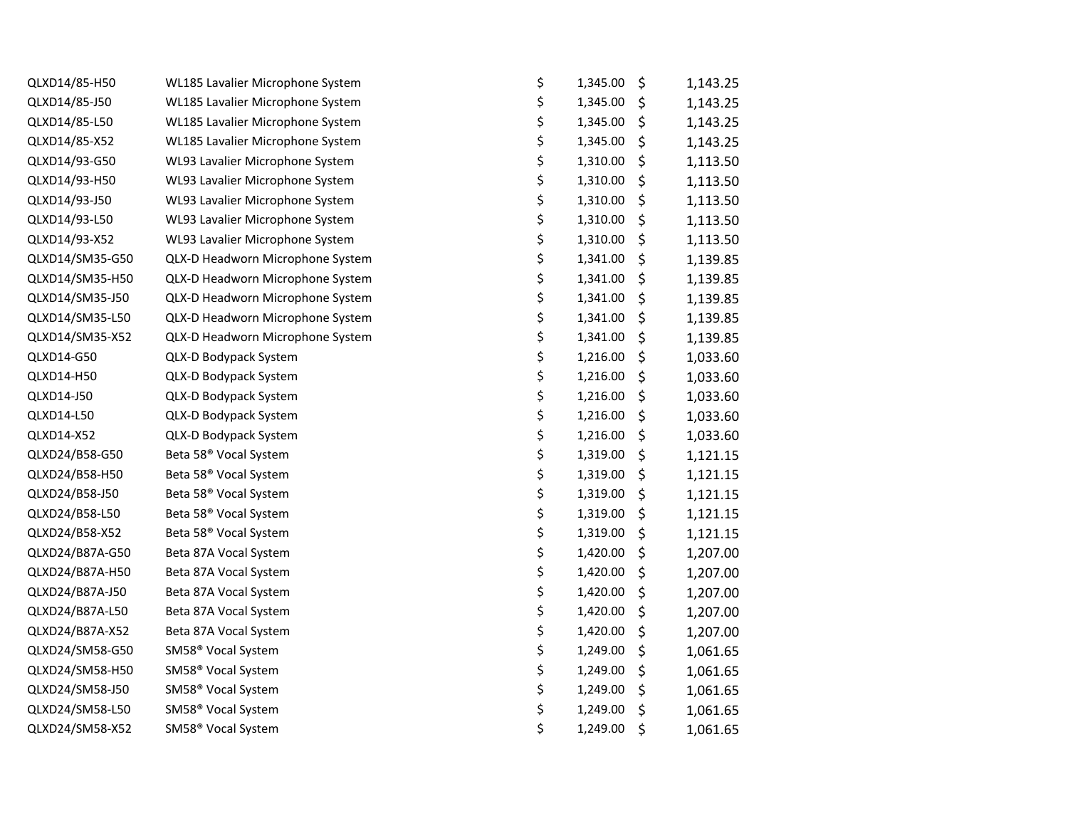| QLXD14/85-H50   | WL185 Lavalier Microphone System  | \$<br>1,345.00 | \$<br>1,143.25 |
|-----------------|-----------------------------------|----------------|----------------|
| QLXD14/85-J50   | WL185 Lavalier Microphone System  | \$<br>1,345.00 | \$<br>1,143.25 |
| QLXD14/85-L50   | WL185 Lavalier Microphone System  | \$<br>1,345.00 | \$<br>1,143.25 |
| QLXD14/85-X52   | WL185 Lavalier Microphone System  | \$<br>1,345.00 | \$<br>1,143.25 |
| QLXD14/93-G50   | WL93 Lavalier Microphone System   | \$<br>1,310.00 | \$<br>1,113.50 |
| QLXD14/93-H50   | WL93 Lavalier Microphone System   | \$<br>1,310.00 | \$<br>1,113.50 |
| QLXD14/93-J50   | WL93 Lavalier Microphone System   | \$<br>1,310.00 | \$<br>1,113.50 |
| QLXD14/93-L50   | WL93 Lavalier Microphone System   | \$<br>1,310.00 | \$<br>1,113.50 |
| QLXD14/93-X52   | WL93 Lavalier Microphone System   | \$<br>1,310.00 | \$<br>1,113.50 |
| QLXD14/SM35-G50 | QLX-D Headworn Microphone System  | \$<br>1,341.00 | \$<br>1,139.85 |
| QLXD14/SM35-H50 | QLX-D Headworn Microphone System  | \$<br>1,341.00 | \$<br>1,139.85 |
| QLXD14/SM35-J50 | QLX-D Headworn Microphone System  | \$<br>1,341.00 | \$<br>1,139.85 |
| QLXD14/SM35-L50 | QLX-D Headworn Microphone System  | \$<br>1,341.00 | \$<br>1,139.85 |
| QLXD14/SM35-X52 | QLX-D Headworn Microphone System  | \$<br>1,341.00 | \$<br>1,139.85 |
| QLXD14-G50      | QLX-D Bodypack System             | \$<br>1,216.00 | \$<br>1,033.60 |
| QLXD14-H50      | QLX-D Bodypack System             | \$<br>1,216.00 | \$<br>1,033.60 |
| QLXD14-J50      | QLX-D Bodypack System             | \$<br>1,216.00 | \$<br>1,033.60 |
| QLXD14-L50      | QLX-D Bodypack System             | \$<br>1,216.00 | \$<br>1,033.60 |
| QLXD14-X52      | QLX-D Bodypack System             | \$<br>1,216.00 | \$<br>1,033.60 |
| QLXD24/B58-G50  | Beta 58 <sup>®</sup> Vocal System | \$<br>1,319.00 | \$<br>1,121.15 |
| QLXD24/B58-H50  | Beta 58 <sup>®</sup> Vocal System | \$<br>1,319.00 | \$<br>1,121.15 |
| QLXD24/B58-J50  | Beta 58 <sup>®</sup> Vocal System | \$<br>1,319.00 | \$<br>1,121.15 |
| QLXD24/B58-L50  | Beta 58 <sup>®</sup> Vocal System | \$<br>1,319.00 | \$<br>1,121.15 |
| QLXD24/B58-X52  | Beta 58 <sup>®</sup> Vocal System | \$<br>1,319.00 | \$<br>1,121.15 |
| QLXD24/B87A-G50 | Beta 87A Vocal System             | \$<br>1,420.00 | \$<br>1,207.00 |
| QLXD24/B87A-H50 | Beta 87A Vocal System             | \$<br>1,420.00 | \$<br>1,207.00 |
| QLXD24/B87A-J50 | Beta 87A Vocal System             | \$<br>1,420.00 | \$<br>1,207.00 |
| QLXD24/B87A-L50 | Beta 87A Vocal System             | \$<br>1,420.00 | \$<br>1,207.00 |
| QLXD24/B87A-X52 | Beta 87A Vocal System             | \$<br>1,420.00 | \$<br>1,207.00 |
| QLXD24/SM58-G50 | SM58 <sup>®</sup> Vocal System    | \$<br>1,249.00 | \$<br>1,061.65 |
| QLXD24/SM58-H50 | SM58 <sup>®</sup> Vocal System    | \$<br>1,249.00 | \$<br>1,061.65 |
| QLXD24/SM58-J50 | SM58 <sup>®</sup> Vocal System    | \$<br>1,249.00 | \$<br>1,061.65 |
| QLXD24/SM58-L50 | SM58 <sup>®</sup> Vocal System    | \$<br>1,249.00 | \$<br>1,061.65 |
| QLXD24/SM58-X52 | SM58 <sup>®</sup> Vocal System    | \$<br>1,249.00 | \$<br>1,061.65 |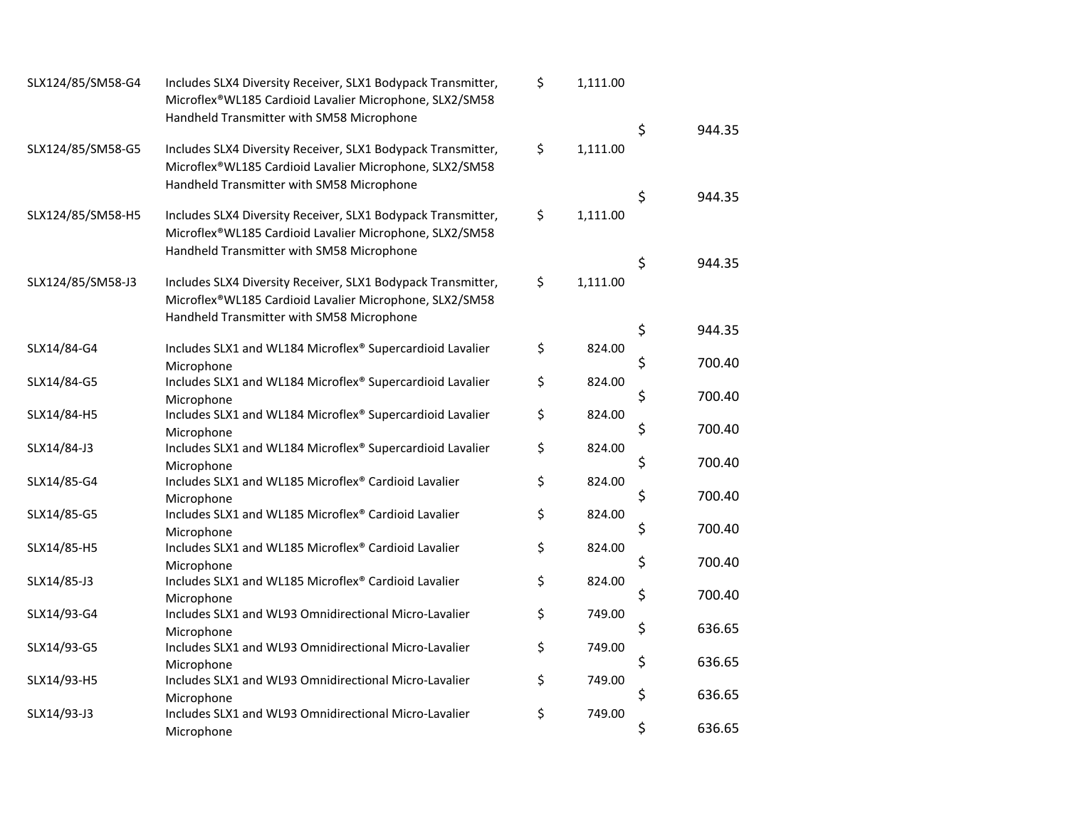| SLX124/85/SM58-G4 | Includes SLX4 Diversity Receiver, SLX1 Bodypack Transmitter,<br>Microflex®WL185 Cardioid Lavalier Microphone, SLX2/SM58<br>Handheld Transmitter with SM58 Microphone | \$<br>1,111.00 | \$<br>944.35 |
|-------------------|----------------------------------------------------------------------------------------------------------------------------------------------------------------------|----------------|--------------|
| SLX124/85/SM58-G5 | Includes SLX4 Diversity Receiver, SLX1 Bodypack Transmitter,<br>Microflex®WL185 Cardioid Lavalier Microphone, SLX2/SM58<br>Handheld Transmitter with SM58 Microphone | \$<br>1,111.00 |              |
| SLX124/85/SM58-H5 | Includes SLX4 Diversity Receiver, SLX1 Bodypack Transmitter,<br>Microflex®WL185 Cardioid Lavalier Microphone, SLX2/SM58<br>Handheld Transmitter with SM58 Microphone | \$<br>1,111.00 | \$<br>944.35 |
| SLX124/85/SM58-J3 | Includes SLX4 Diversity Receiver, SLX1 Bodypack Transmitter,<br>Microflex®WL185 Cardioid Lavalier Microphone, SLX2/SM58<br>Handheld Transmitter with SM58 Microphone | \$<br>1,111.00 | \$<br>944.35 |
|                   |                                                                                                                                                                      |                | \$<br>944.35 |
| SLX14/84-G4       | Includes SLX1 and WL184 Microflex® Supercardioid Lavalier<br>Microphone                                                                                              | \$<br>824.00   | \$<br>700.40 |
| SLX14/84-G5       | Includes SLX1 and WL184 Microflex® Supercardioid Lavalier<br>Microphone                                                                                              | \$<br>824.00   | \$<br>700.40 |
| SLX14/84-H5       | Includes SLX1 and WL184 Microflex® Supercardioid Lavalier                                                                                                            | \$<br>824.00   | \$<br>700.40 |
| SLX14/84-J3       | Microphone<br>Includes SLX1 and WL184 Microflex® Supercardioid Lavalier<br>Microphone                                                                                | \$<br>824.00   | \$<br>700.40 |
| SLX14/85-G4       | Includes SLX1 and WL185 Microflex® Cardioid Lavalier<br>Microphone                                                                                                   | \$<br>824.00   | \$<br>700.40 |
| SLX14/85-G5       | Includes SLX1 and WL185 Microflex® Cardioid Lavalier<br>Microphone                                                                                                   | \$<br>824.00   | \$<br>700.40 |
| SLX14/85-H5       | Includes SLX1 and WL185 Microflex® Cardioid Lavalier<br>Microphone                                                                                                   | \$<br>824.00   | \$<br>700.40 |
| SLX14/85-J3       | Includes SLX1 and WL185 Microflex® Cardioid Lavalier<br>Microphone                                                                                                   | \$<br>824.00   | \$<br>700.40 |
| SLX14/93-G4       | Includes SLX1 and WL93 Omnidirectional Micro-Lavalier<br>Microphone                                                                                                  | \$<br>749.00   | \$<br>636.65 |
| SLX14/93-G5       | Includes SLX1 and WL93 Omnidirectional Micro-Lavalier<br>Microphone                                                                                                  | \$<br>749.00   | \$<br>636.65 |
| SLX14/93-H5       | Includes SLX1 and WL93 Omnidirectional Micro-Lavalier                                                                                                                | \$<br>749.00   | \$<br>636.65 |
| SLX14/93-J3       | Microphone<br>Includes SLX1 and WL93 Omnidirectional Micro-Lavalier<br>Microphone                                                                                    | \$<br>749.00   | \$<br>636.65 |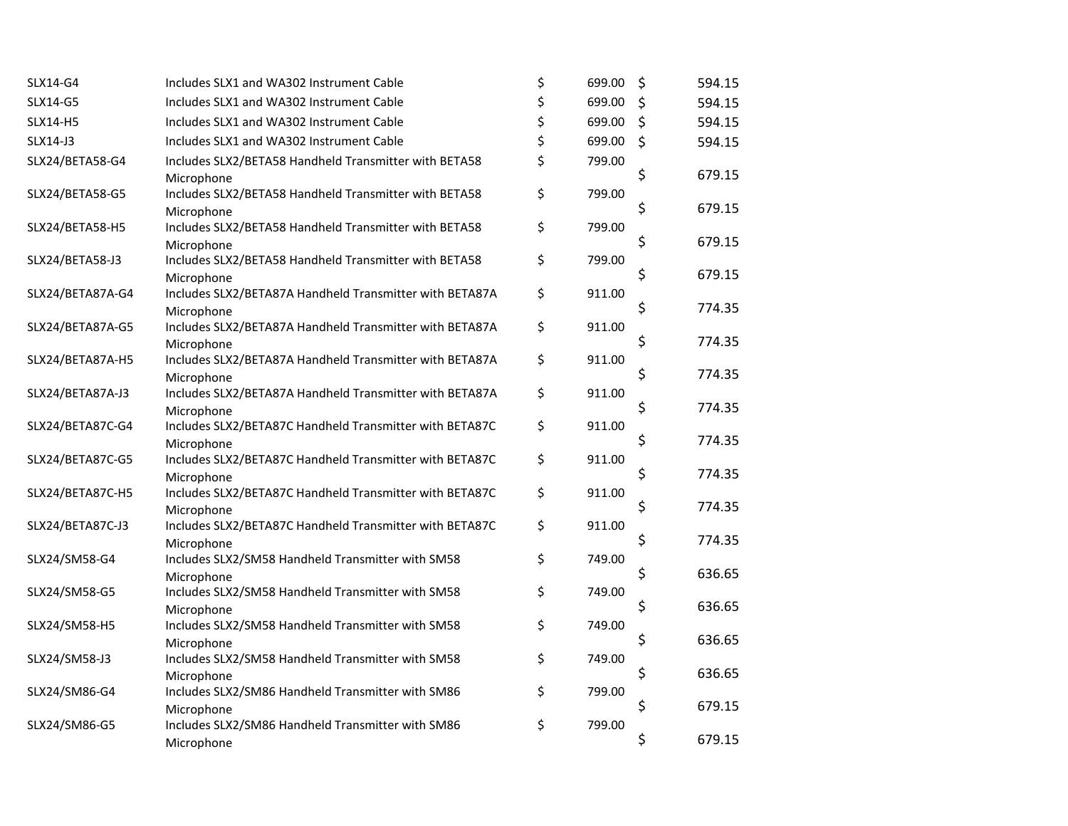| SLX14-G4         | Includes SLX1 and WA302 Instrument Cable                              | \$<br>699.00 | \$<br>594.15 |
|------------------|-----------------------------------------------------------------------|--------------|--------------|
| SLX14-G5         | Includes SLX1 and WA302 Instrument Cable                              | \$<br>699.00 | \$<br>594.15 |
| SLX14-H5         | Includes SLX1 and WA302 Instrument Cable                              | \$<br>699.00 | \$<br>594.15 |
| SLX14-J3         | Includes SLX1 and WA302 Instrument Cable                              | \$<br>699.00 | \$<br>594.15 |
| SLX24/BETA58-G4  | Includes SLX2/BETA58 Handheld Transmitter with BETA58                 | \$<br>799.00 |              |
|                  | Microphone                                                            |              | \$<br>679.15 |
| SLX24/BETA58-G5  | Includes SLX2/BETA58 Handheld Transmitter with BETA58                 | \$<br>799.00 |              |
|                  | Microphone                                                            |              | \$<br>679.15 |
| SLX24/BETA58-H5  | Includes SLX2/BETA58 Handheld Transmitter with BETA58                 | \$<br>799.00 | \$<br>679.15 |
| SLX24/BETA58-J3  | Microphone<br>Includes SLX2/BETA58 Handheld Transmitter with BETA58   | \$<br>799.00 |              |
|                  | Microphone                                                            |              | \$<br>679.15 |
| SLX24/BETA87A-G4 | Includes SLX2/BETA87A Handheld Transmitter with BETA87A               | \$<br>911.00 |              |
|                  | Microphone                                                            |              | \$<br>774.35 |
| SLX24/BETA87A-G5 | Includes SLX2/BETA87A Handheld Transmitter with BETA87A               | \$<br>911.00 |              |
|                  | Microphone                                                            |              | \$<br>774.35 |
| SLX24/BETA87A-H5 | Includes SLX2/BETA87A Handheld Transmitter with BETA87A               | \$<br>911.00 | 774.35       |
|                  | Microphone                                                            | 911.00       | \$           |
| SLX24/BETA87A-J3 | Includes SLX2/BETA87A Handheld Transmitter with BETA87A<br>Microphone | \$           | \$<br>774.35 |
| SLX24/BETA87C-G4 | Includes SLX2/BETA87C Handheld Transmitter with BETA87C               | \$<br>911.00 |              |
|                  | Microphone                                                            |              | \$<br>774.35 |
| SLX24/BETA87C-G5 | Includes SLX2/BETA87C Handheld Transmitter with BETA87C               | \$<br>911.00 |              |
|                  | Microphone                                                            |              | \$<br>774.35 |
| SLX24/BETA87C-H5 | Includes SLX2/BETA87C Handheld Transmitter with BETA87C               | \$<br>911.00 |              |
|                  | Microphone                                                            |              | \$<br>774.35 |
| SLX24/BETA87C-J3 | Includes SLX2/BETA87C Handheld Transmitter with BETA87C               | \$<br>911.00 | \$<br>774.35 |
| SLX24/SM58-G4    | Microphone<br>Includes SLX2/SM58 Handheld Transmitter with SM58       | \$<br>749.00 |              |
|                  | Microphone                                                            |              | \$<br>636.65 |
| SLX24/SM58-G5    | Includes SLX2/SM58 Handheld Transmitter with SM58                     | \$<br>749.00 |              |
|                  | Microphone                                                            |              | \$<br>636.65 |
| SLX24/SM58-H5    | Includes SLX2/SM58 Handheld Transmitter with SM58                     | \$<br>749.00 |              |
|                  | Microphone                                                            |              | \$<br>636.65 |
| SLX24/SM58-J3    | Includes SLX2/SM58 Handheld Transmitter with SM58                     | \$<br>749.00 | \$<br>636.65 |
| SLX24/SM86-G4    | Microphone<br>Includes SLX2/SM86 Handheld Transmitter with SM86       | \$<br>799.00 |              |
|                  | Microphone                                                            |              | \$<br>679.15 |
| SLX24/SM86-G5    | Includes SLX2/SM86 Handheld Transmitter with SM86                     | \$<br>799.00 |              |
|                  | Microphone                                                            |              | \$<br>679.15 |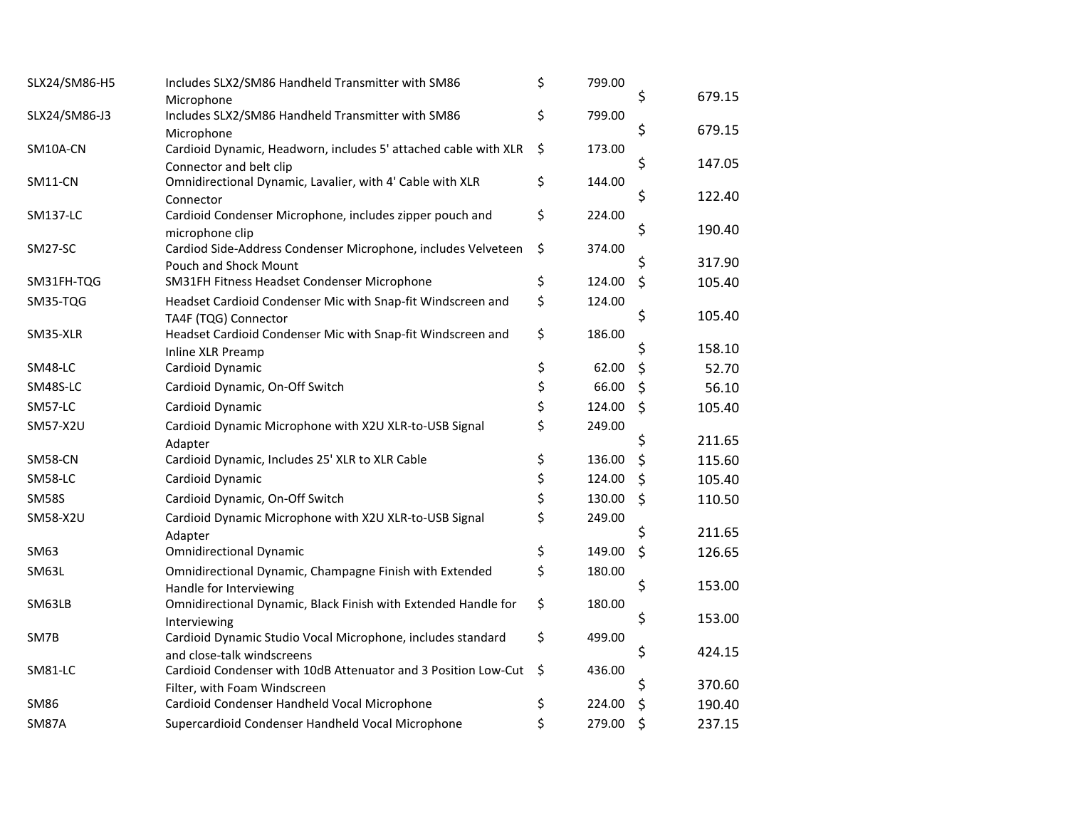| SLX24/SM86-H5   | Includes SLX2/SM86 Handheld Transmitter with SM86                     | \$<br>799.00 |                    |        |
|-----------------|-----------------------------------------------------------------------|--------------|--------------------|--------|
|                 | Microphone                                                            |              | \$                 | 679.15 |
| SLX24/SM86-J3   | Includes SLX2/SM86 Handheld Transmitter with SM86                     | \$<br>799.00 |                    |        |
|                 | Microphone                                                            |              | \$                 | 679.15 |
| SM10A-CN        | Cardioid Dynamic, Headworn, includes 5' attached cable with XLR       | \$<br>173.00 |                    |        |
|                 | Connector and belt clip                                               |              | \$                 | 147.05 |
| SM11-CN         | Omnidirectional Dynamic, Lavalier, with 4' Cable with XLR             | \$<br>144.00 | \$                 | 122.40 |
| <b>SM137-LC</b> | Connector<br>Cardioid Condenser Microphone, includes zipper pouch and | \$<br>224.00 |                    |        |
|                 | microphone clip                                                       |              | \$                 | 190.40 |
| SM27-SC         | Cardiod Side-Address Condenser Microphone, includes Velveteen         | \$<br>374.00 |                    |        |
|                 | Pouch and Shock Mount                                                 |              |                    | 317.90 |
| SM31FH-TQG      | SM31FH Fitness Headset Condenser Microphone                           | \$<br>124.00 | \$                 | 105.40 |
| SM35-TQG        | Headset Cardioid Condenser Mic with Snap-fit Windscreen and           | \$<br>124.00 |                    |        |
|                 | TA4F (TQG) Connector                                                  |              | \$                 | 105.40 |
| SM35-XLR        | Headset Cardioid Condenser Mic with Snap-fit Windscreen and           | \$<br>186.00 |                    |        |
|                 | Inline XLR Preamp                                                     |              | \$                 | 158.10 |
| SM48-LC         | Cardioid Dynamic                                                      | \$<br>62.00  | \$                 | 52.70  |
| SM48S-LC        | Cardioid Dynamic, On-Off Switch                                       | \$<br>66.00  | \$                 | 56.10  |
| SM57-LC         | Cardioid Dynamic                                                      | \$<br>124.00 | \$                 | 105.40 |
| SM57-X2U        | Cardioid Dynamic Microphone with X2U XLR-to-USB Signal                | \$<br>249.00 |                    |        |
|                 | Adapter                                                               |              | \$                 | 211.65 |
| SM58-CN         | Cardioid Dynamic, Includes 25' XLR to XLR Cable                       | \$<br>136.00 | \$                 | 115.60 |
| SM58-LC         | Cardioid Dynamic                                                      | \$<br>124.00 | \$                 | 105.40 |
| <b>SM58S</b>    | Cardioid Dynamic, On-Off Switch                                       | \$<br>130.00 | $\mathsf{\dot{S}}$ | 110.50 |
| SM58-X2U        | Cardioid Dynamic Microphone with X2U XLR-to-USB Signal                | \$<br>249.00 |                    |        |
|                 | Adapter                                                               |              | \$                 | 211.65 |
| SM63            | <b>Omnidirectional Dynamic</b>                                        | \$<br>149.00 | \$                 | 126.65 |
| SM63L           | Omnidirectional Dynamic, Champagne Finish with Extended               | \$<br>180.00 |                    |        |
|                 | Handle for Interviewing                                               |              | \$                 | 153.00 |
| SM63LB          | Omnidirectional Dynamic, Black Finish with Extended Handle for        | \$<br>180.00 |                    |        |
|                 | Interviewing                                                          |              | \$                 | 153.00 |
| SM7B            | Cardioid Dynamic Studio Vocal Microphone, includes standard           | \$<br>499.00 |                    |        |
|                 | and close-talk windscreens                                            |              | \$                 | 424.15 |
| SM81-LC         | Cardioid Condenser with 10dB Attenuator and 3 Position Low-Cut        | \$<br>436.00 |                    |        |
|                 | Filter, with Foam Windscreen                                          |              | S                  | 370.60 |
| <b>SM86</b>     | Cardioid Condenser Handheld Vocal Microphone                          | \$<br>224.00 | \$                 | 190.40 |
| <b>SM87A</b>    | Supercardioid Condenser Handheld Vocal Microphone                     | \$<br>279.00 | \$                 | 237.15 |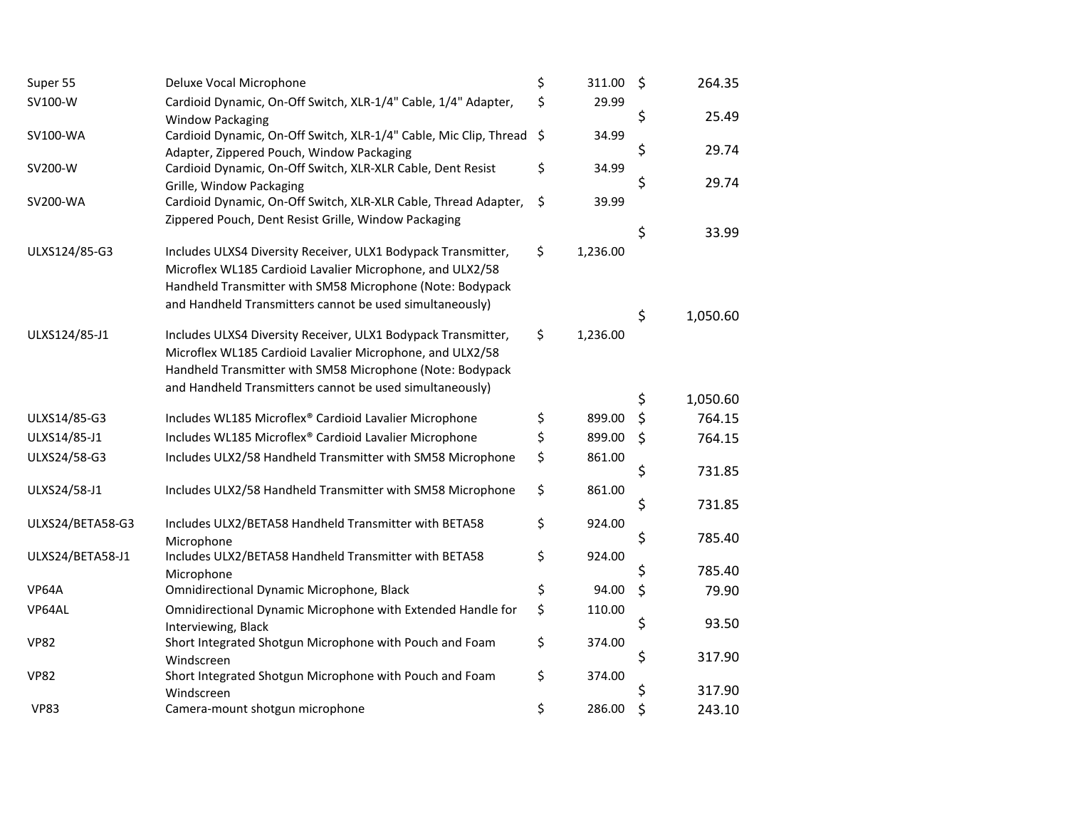| Super 55         | Deluxe Vocal Microphone                                                                   | \$      | 311.00   | \$ | 264.35   |
|------------------|-------------------------------------------------------------------------------------------|---------|----------|----|----------|
| SV100-W          | Cardioid Dynamic, On-Off Switch, XLR-1/4" Cable, 1/4" Adapter,<br><b>Window Packaging</b> | \$      | 29.99    | \$ | 25.49    |
| SV100-WA         | Cardioid Dynamic, On-Off Switch, XLR-1/4" Cable, Mic Clip, Thread                         | $\zeta$ | 34.99    |    |          |
|                  | Adapter, Zippered Pouch, Window Packaging                                                 |         |          | \$ | 29.74    |
| SV200-W          | Cardioid Dynamic, On-Off Switch, XLR-XLR Cable, Dent Resist                               | \$      | 34.99    |    |          |
|                  | Grille, Window Packaging                                                                  |         |          | \$ | 29.74    |
| SV200-WA         | Cardioid Dynamic, On-Off Switch, XLR-XLR Cable, Thread Adapter,                           | \$      | 39.99    |    |          |
|                  | Zippered Pouch, Dent Resist Grille, Window Packaging                                      |         |          | \$ | 33.99    |
| ULXS124/85-G3    | Includes ULXS4 Diversity Receiver, ULX1 Bodypack Transmitter,                             | \$      | 1,236.00 |    |          |
|                  | Microflex WL185 Cardioid Lavalier Microphone, and ULX2/58                                 |         |          |    |          |
|                  | Handheld Transmitter with SM58 Microphone (Note: Bodypack                                 |         |          |    |          |
|                  | and Handheld Transmitters cannot be used simultaneously)                                  |         |          |    |          |
|                  |                                                                                           |         |          | \$ | 1,050.60 |
| ULXS124/85-J1    | Includes ULXS4 Diversity Receiver, ULX1 Bodypack Transmitter,                             | \$      | 1,236.00 |    |          |
|                  | Microflex WL185 Cardioid Lavalier Microphone, and ULX2/58                                 |         |          |    |          |
|                  | Handheld Transmitter with SM58 Microphone (Note: Bodypack                                 |         |          |    |          |
|                  | and Handheld Transmitters cannot be used simultaneously)                                  |         |          | \$ | 1,050.60 |
| ULXS14/85-G3     | Includes WL185 Microflex® Cardioid Lavalier Microphone                                    | \$      | 899.00   | \$ | 764.15   |
| ULXS14/85-J1     | Includes WL185 Microflex® Cardioid Lavalier Microphone                                    | \$      | 899.00   | \$ | 764.15   |
|                  |                                                                                           |         |          |    |          |
| ULXS24/58-G3     | Includes ULX2/58 Handheld Transmitter with SM58 Microphone                                | \$      | 861.00   | \$ | 731.85   |
| ULXS24/58-J1     | Includes ULX2/58 Handheld Transmitter with SM58 Microphone                                | \$      | 861.00   |    |          |
|                  |                                                                                           |         |          | \$ | 731.85   |
| ULXS24/BETA58-G3 | Includes ULX2/BETA58 Handheld Transmitter with BETA58                                     | \$      | 924.00   |    |          |
|                  | Microphone                                                                                |         |          | \$ | 785.40   |
| ULXS24/BETA58-J1 | Includes ULX2/BETA58 Handheld Transmitter with BETA58                                     | \$      | 924.00   |    |          |
|                  | Microphone                                                                                |         |          | \$ | 785.40   |
| VP64A            | Omnidirectional Dynamic Microphone, Black                                                 | \$      | 94.00    | \$ | 79.90    |
| VP64AL           | Omnidirectional Dynamic Microphone with Extended Handle for                               | \$      | 110.00   |    |          |
|                  | Interviewing, Black                                                                       |         |          | \$ | 93.50    |
| <b>VP82</b>      | Short Integrated Shotgun Microphone with Pouch and Foam                                   | \$      | 374.00   |    |          |
|                  | Windscreen                                                                                |         |          | \$ | 317.90   |
| <b>VP82</b>      | Short Integrated Shotgun Microphone with Pouch and Foam                                   | \$      | 374.00   |    |          |
|                  | Windscreen                                                                                |         |          | S  | 317.90   |
| <b>VP83</b>      | Camera-mount shotgun microphone                                                           | \$      | 286.00   | \$ | 243.10   |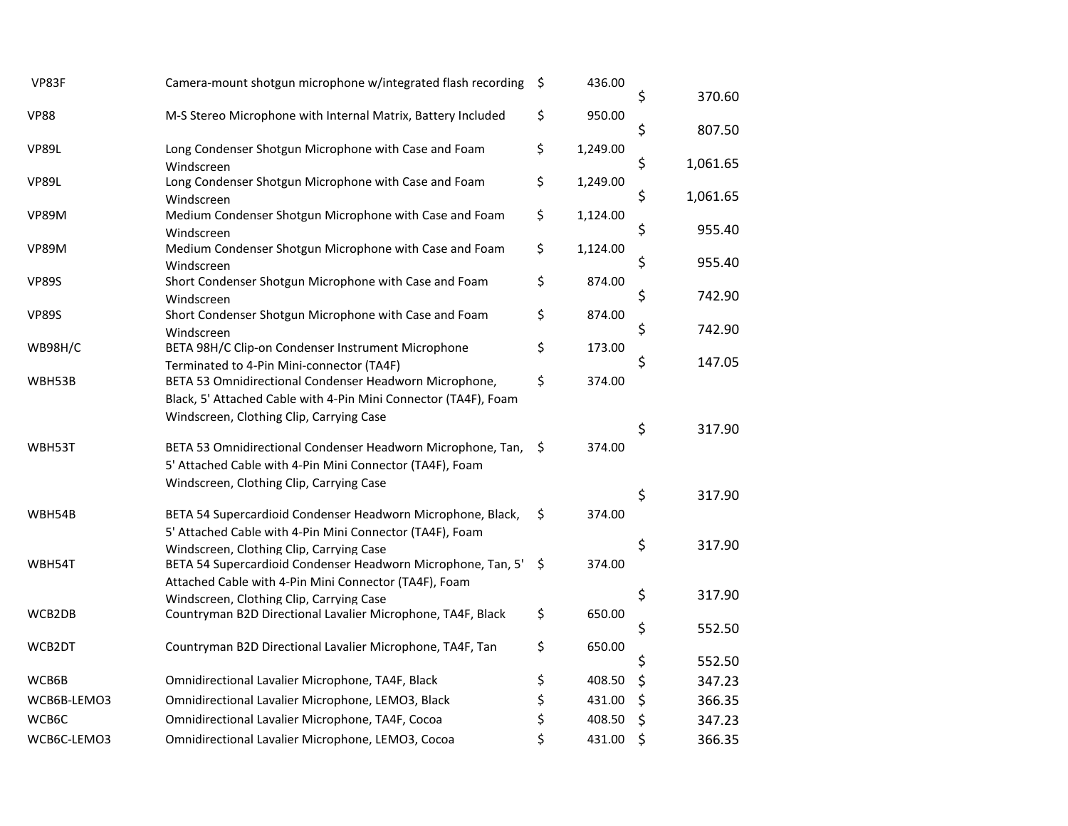| VP83F        | Camera-mount shotgun microphone w/integrated flash recording                                             | \$<br>436.00   | \$<br>370.60   |
|--------------|----------------------------------------------------------------------------------------------------------|----------------|----------------|
| <b>VP88</b>  | M-S Stereo Microphone with Internal Matrix, Battery Included                                             | \$<br>950.00   |                |
|              |                                                                                                          |                | \$<br>807.50   |
| <b>VP89L</b> | Long Condenser Shotgun Microphone with Case and Foam                                                     | \$<br>1,249.00 |                |
|              | Windscreen                                                                                               |                | \$<br>1,061.65 |
| <b>VP89L</b> | Long Condenser Shotgun Microphone with Case and Foam                                                     | \$<br>1,249.00 |                |
|              | Windscreen                                                                                               |                | \$<br>1,061.65 |
| <b>VP89M</b> | Medium Condenser Shotgun Microphone with Case and Foam                                                   | \$<br>1,124.00 | \$<br>955.40   |
|              | Windscreen                                                                                               |                |                |
| <b>VP89M</b> | Medium Condenser Shotgun Microphone with Case and Foam                                                   | \$<br>1,124.00 | \$<br>955.40   |
| <b>VP89S</b> | Windscreen<br>Short Condenser Shotgun Microphone with Case and Foam                                      | \$<br>874.00   |                |
|              | Windscreen                                                                                               |                | \$<br>742.90   |
| <b>VP89S</b> | Short Condenser Shotgun Microphone with Case and Foam                                                    | \$<br>874.00   |                |
|              | Windscreen                                                                                               |                | \$<br>742.90   |
| WB98H/C      | BETA 98H/C Clip-on Condenser Instrument Microphone                                                       | \$<br>173.00   |                |
|              | Terminated to 4-Pin Mini-connector (TA4F)                                                                |                | \$<br>147.05   |
| WBH53B       | BETA 53 Omnidirectional Condenser Headworn Microphone,                                                   | \$<br>374.00   |                |
|              | Black, 5' Attached Cable with 4-Pin Mini Connector (TA4F), Foam                                          |                |                |
|              | Windscreen, Clothing Clip, Carrying Case                                                                 |                |                |
|              |                                                                                                          |                | \$<br>317.90   |
| WBH53T       | BETA 53 Omnidirectional Condenser Headworn Microphone, Tan,                                              | \$<br>374.00   |                |
|              | 5' Attached Cable with 4-Pin Mini Connector (TA4F), Foam                                                 |                |                |
|              | Windscreen, Clothing Clip, Carrying Case                                                                 |                | \$<br>317.90   |
|              |                                                                                                          |                |                |
| WBH54B       | BETA 54 Supercardioid Condenser Headworn Microphone, Black,                                              | \$<br>374.00   |                |
|              | 5' Attached Cable with 4-Pin Mini Connector (TA4F), Foam                                                 |                | \$<br>317.90   |
| WBH54T       | Windscreen, Clothing Clip, Carrying Case<br>BETA 54 Supercardioid Condenser Headworn Microphone, Tan, 5' | \$<br>374.00   |                |
|              | Attached Cable with 4-Pin Mini Connector (TA4F), Foam                                                    |                |                |
|              | Windscreen, Clothing Clip, Carrying Case                                                                 |                | \$<br>317.90   |
| WCB2DB       | Countryman B2D Directional Lavalier Microphone, TA4F, Black                                              | \$<br>650.00   |                |
|              |                                                                                                          |                | \$<br>552.50   |
| WCB2DT       | Countryman B2D Directional Lavalier Microphone, TA4F, Tan                                                | \$<br>650.00   |                |
|              |                                                                                                          |                | \$<br>552.50   |
| WCB6B        | Omnidirectional Lavalier Microphone, TA4F, Black                                                         | \$<br>408.50   | \$<br>347.23   |
| WCB6B-LEMO3  | Omnidirectional Lavalier Microphone, LEMO3, Black                                                        | \$<br>431.00   | \$<br>366.35   |
| WCB6C        | Omnidirectional Lavalier Microphone, TA4F, Cocoa                                                         | \$<br>408.50   | \$<br>347.23   |
| WCB6C-LEMO3  | Omnidirectional Lavalier Microphone, LEMO3, Cocoa                                                        | \$<br>431.00   | \$<br>366.35   |
|              |                                                                                                          |                |                |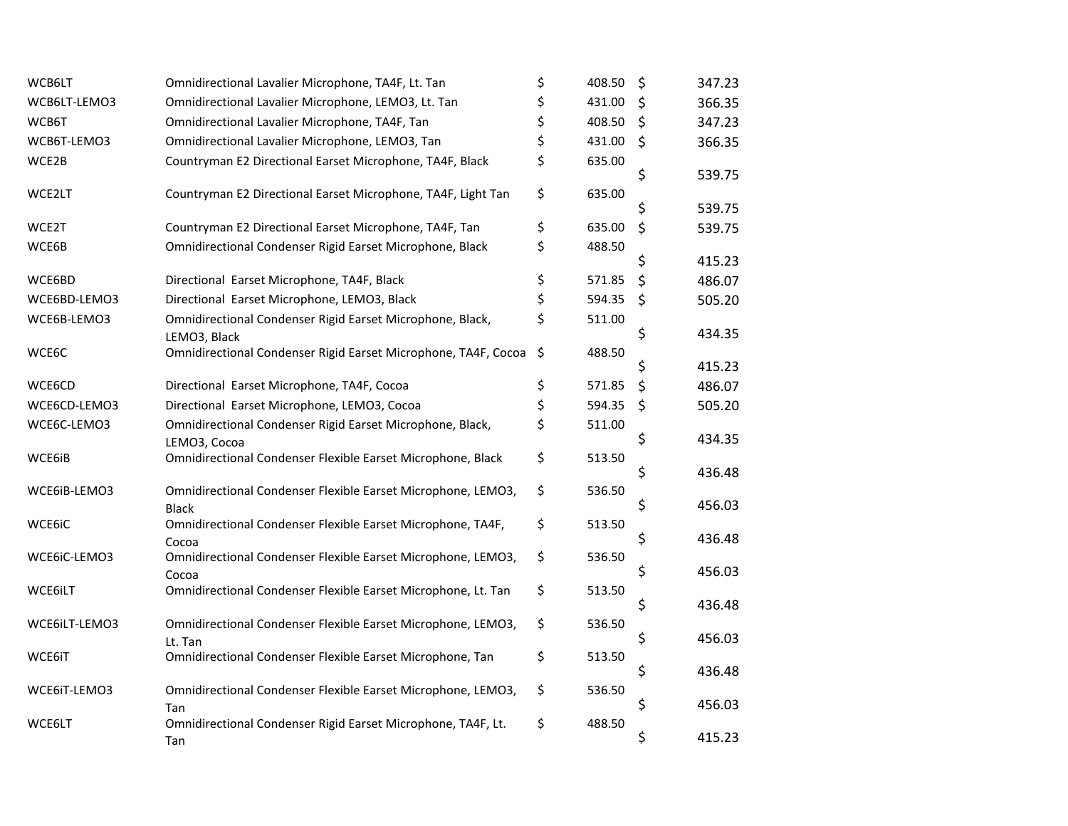| WCB6LT        | Omnidirectional Lavalier Microphone, TA4F, Lt. Tan                           | \$<br>408.50 | \$      | 347.23 |
|---------------|------------------------------------------------------------------------------|--------------|---------|--------|
| WCB6LT-LEMO3  | Omnidirectional Lavalier Microphone, LEMO3, Lt. Tan                          | \$<br>431.00 | \$      | 366.35 |
| WCB6T         | Omnidirectional Lavalier Microphone, TA4F, Tan                               | \$<br>408.50 | \$      | 347.23 |
| WCB6T-LEMO3   | Omnidirectional Lavalier Microphone, LEMO3, Tan                              | \$<br>431.00 | \$      | 366.35 |
| WCE2B         | Countryman E2 Directional Earset Microphone, TA4F, Black                     | \$<br>635.00 | \$      | 539.75 |
| WCE2LT        | Countryman E2 Directional Earset Microphone, TA4F, Light Tan                 | \$<br>635.00 | \$      | 539.75 |
| WCE2T         | Countryman E2 Directional Earset Microphone, TA4F, Tan                       | \$<br>635.00 | $\zeta$ | 539.75 |
| WCE6B         | Omnidirectional Condenser Rigid Earset Microphone, Black                     | \$<br>488.50 | \$      | 415.23 |
| WCE6BD        | Directional Earset Microphone, TA4F, Black                                   | \$<br>571.85 | $\zeta$ | 486.07 |
| WCE6BD-LEMO3  | Directional Earset Microphone, LEMO3, Black                                  | \$<br>594.35 | \$      | 505.20 |
| WCE6B-LEMO3   | Omnidirectional Condenser Rigid Earset Microphone, Black,<br>LEMO3, Black    | \$<br>511.00 | \$      | 434.35 |
| WCE6C         | Omnidirectional Condenser Rigid Earset Microphone, TA4F, Cocoa               | \$<br>488.50 | \$      | 415.23 |
| WCE6CD        | Directional Earset Microphone, TA4F, Cocoa                                   | \$<br>571.85 | \$      | 486.07 |
| WCE6CD-LEMO3  | Directional Earset Microphone, LEMO3, Cocoa                                  | \$<br>594.35 | \$      | 505.20 |
| WCE6C-LEMO3   | Omnidirectional Condenser Rigid Earset Microphone, Black,<br>LEMO3, Cocoa    | \$<br>511.00 | \$      | 434.35 |
| WCE6iB        | Omnidirectional Condenser Flexible Earset Microphone, Black                  | \$<br>513.50 | \$      | 436.48 |
| WCE6iB-LEMO3  | Omnidirectional Condenser Flexible Earset Microphone, LEMO3,<br><b>Black</b> | \$<br>536.50 | \$      | 456.03 |
| WCE6iC        | Omnidirectional Condenser Flexible Earset Microphone, TA4F,<br>Cocoa         | \$<br>513.50 | \$      | 436.48 |
| WCE6iC-LEMO3  | Omnidirectional Condenser Flexible Earset Microphone, LEMO3,<br>Cocoa        | \$<br>536.50 | \$      | 456.03 |
| WCE6iLT       | Omnidirectional Condenser Flexible Earset Microphone, Lt. Tan                | \$<br>513.50 | \$      | 436.48 |
| WCE6iLT-LEMO3 | Omnidirectional Condenser Flexible Earset Microphone, LEMO3,<br>Lt. Tan      | \$<br>536.50 | \$      | 456.03 |
| WCE6iT        | Omnidirectional Condenser Flexible Earset Microphone, Tan                    | \$<br>513.50 | \$      | 436.48 |
| WCE6iT-LEMO3  | Omnidirectional Condenser Flexible Earset Microphone, LEMO3,                 | \$<br>536.50 | \$      | 456.03 |
| WCE6LT        | Tan<br>Omnidirectional Condenser Rigid Earset Microphone, TA4F, Lt.          | \$<br>488.50 | \$      | 415.23 |
|               | Tan                                                                          |              |         |        |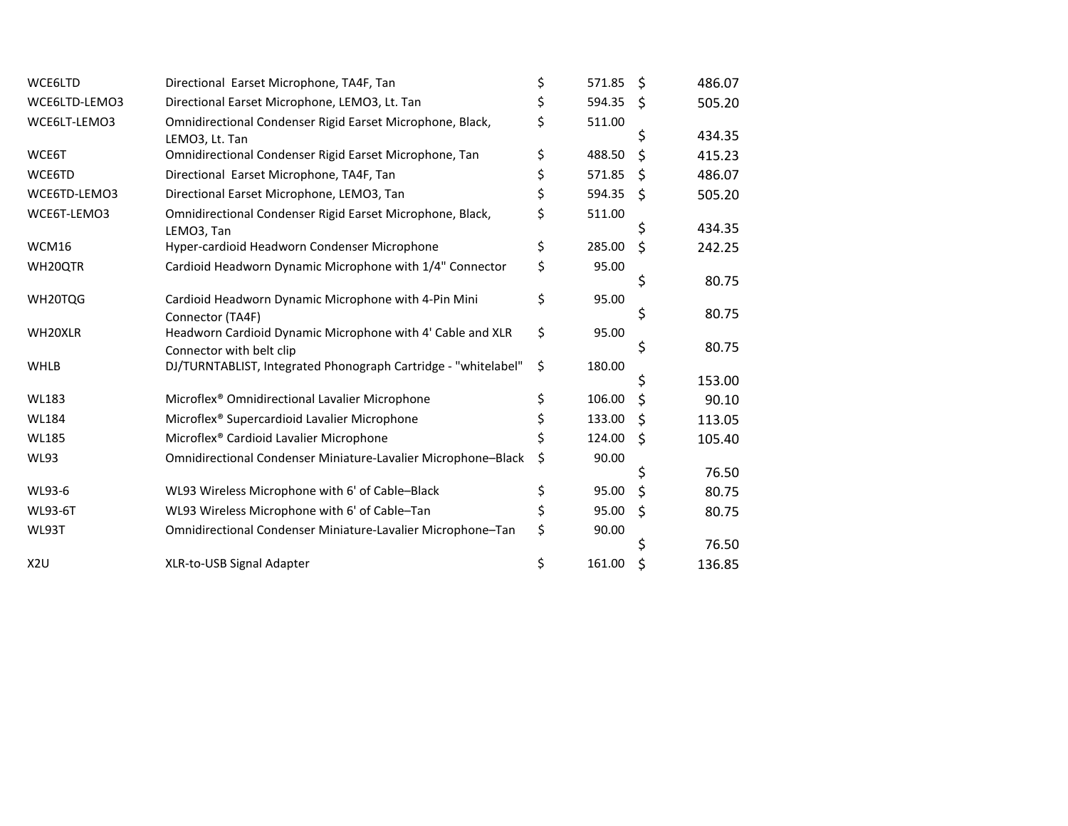| WCE6LTD          | Directional Earset Microphone, TA4F, Tan                                                   | \$ | 571.85 | - \$ | 486.07 |
|------------------|--------------------------------------------------------------------------------------------|----|--------|------|--------|
| WCE6LTD-LEMO3    | Directional Earset Microphone, LEMO3, Lt. Tan                                              | Ś  | 594.35 | Ŝ.   | 505.20 |
| WCE6LT-LEMO3     | Omnidirectional Condenser Rigid Earset Microphone, Black,                                  | \$ | 511.00 |      |        |
|                  | LEMO3, Lt. Tan                                                                             |    |        | S    | 434.35 |
| WCE6T            | Omnidirectional Condenser Rigid Earset Microphone, Tan                                     | \$ | 488.50 | \$   | 415.23 |
| WCE6TD           | Directional Earset Microphone, TA4F, Tan                                                   | \$ | 571.85 | \$   | 486.07 |
| WCE6TD-LEMO3     | Directional Earset Microphone, LEMO3, Tan                                                  | \$ | 594.35 | \$   | 505.20 |
| WCE6T-LEMO3      | Omnidirectional Condenser Rigid Earset Microphone, Black,                                  | \$ | 511.00 |      |        |
|                  | LEMO3, Tan                                                                                 |    |        | S    | 434.35 |
| WCM16            | Hyper-cardioid Headworn Condenser Microphone                                               | \$ | 285.00 | \$   | 242.25 |
| WH20QTR          | Cardioid Headworn Dynamic Microphone with 1/4" Connector                                   | \$ | 95.00  |      |        |
|                  |                                                                                            |    |        | \$   | 80.75  |
| WH20TQG          | Cardioid Headworn Dynamic Microphone with 4-Pin Mini                                       | \$ | 95.00  |      |        |
|                  | Connector (TA4F)                                                                           |    |        | \$   | 80.75  |
| WH20XLR          | Headworn Cardioid Dynamic Microphone with 4' Cable and XLR                                 | \$ | 95.00  | S    | 80.75  |
| WHLB             | Connector with belt clip<br>DJ/TURNTABLIST, Integrated Phonograph Cartridge - "whitelabel" | \$ | 180.00 |      |        |
|                  |                                                                                            |    |        |      | 153.00 |
| <b>WL183</b>     | Microflex <sup>®</sup> Omnidirectional Lavalier Microphone                                 |    | 106.00 | \$   | 90.10  |
| <b>WL184</b>     | Microflex® Supercardioid Lavalier Microphone                                               |    | 133.00 | \$   | 113.05 |
| <b>WL185</b>     | Microflex <sup>®</sup> Cardioid Lavalier Microphone                                        | Ś. | 124.00 | \$   | 105.40 |
| <b>WL93</b>      | Omnidirectional Condenser Miniature-Lavalier Microphone-Black                              | Ś  | 90.00  |      |        |
|                  |                                                                                            |    |        |      | 76.50  |
| WL93-6           | WL93 Wireless Microphone with 6' of Cable-Black                                            | \$ | 95.00  | \$   | 80.75  |
| <b>WL93-6T</b>   | WL93 Wireless Microphone with 6' of Cable-Tan                                              | \$ | 95.00  | \$   | 80.75  |
| WL93T            | Omnidirectional Condenser Miniature-Lavalier Microphone-Tan                                | \$ | 90.00  |      |        |
|                  |                                                                                            |    |        | Ś    | 76.50  |
| X <sub>2</sub> U | XLR-to-USB Signal Adapter                                                                  | \$ | 161.00 | \$   | 136.85 |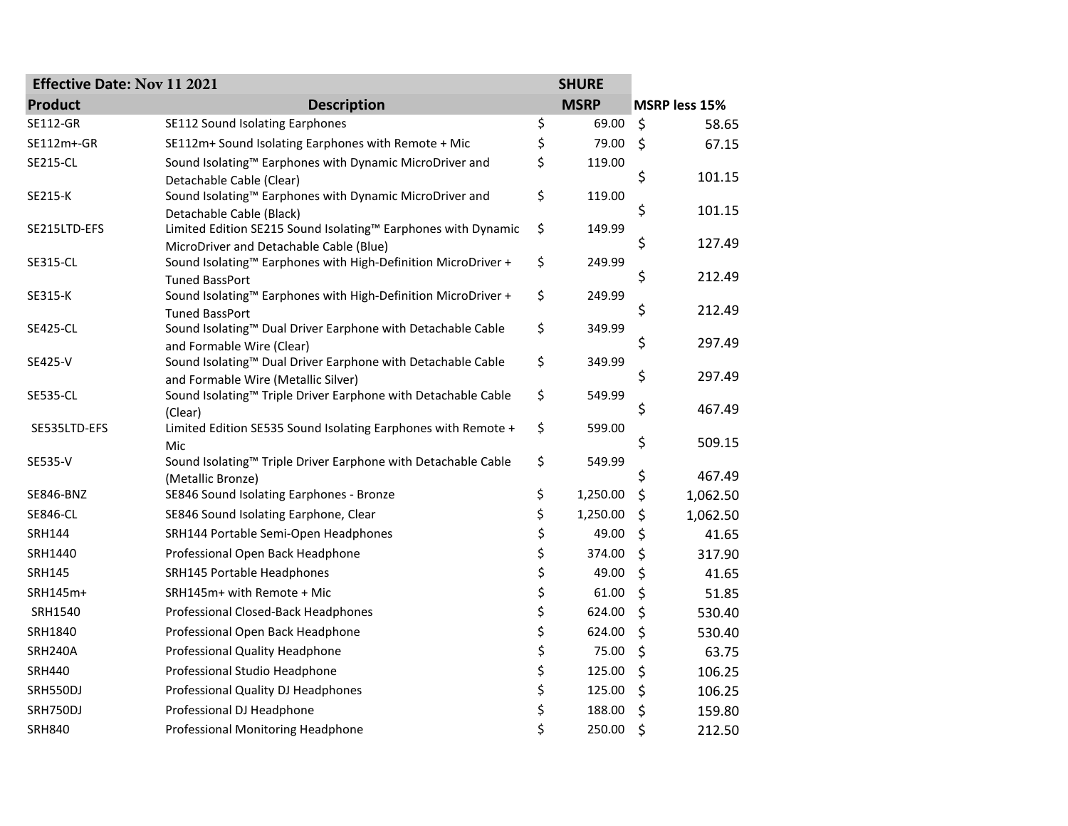| <b>Effective Date: Nov 11 2021</b><br><b>SHURE</b> |                                                                                                          |    |             |         |               |
|----------------------------------------------------|----------------------------------------------------------------------------------------------------------|----|-------------|---------|---------------|
| <b>Product</b>                                     | <b>Description</b>                                                                                       |    | <b>MSRP</b> |         | MSRP less 15% |
| <b>SE112-GR</b>                                    | SE112 Sound Isolating Earphones                                                                          | \$ | 69.00       | $\zeta$ | 58.65         |
| SE112m+-GR                                         | SE112m+ Sound Isolating Earphones with Remote + Mic                                                      | \$ | 79.00       | $\zeta$ | 67.15         |
| <b>SE215-CL</b>                                    | Sound Isolating™ Earphones with Dynamic MicroDriver and<br>Detachable Cable (Clear)                      | \$ | 119.00      | \$      | 101.15        |
| SE215-K                                            | Sound Isolating™ Earphones with Dynamic MicroDriver and<br>Detachable Cable (Black)                      | \$ | 119.00      | \$      | 101.15        |
| SE215LTD-EFS                                       | Limited Edition SE215 Sound Isolating™ Earphones with Dynamic<br>MicroDriver and Detachable Cable (Blue) | \$ | 149.99      | \$      | 127.49        |
| <b>SE315-CL</b>                                    | Sound Isolating™ Earphones with High-Definition MicroDriver +<br><b>Tuned BassPort</b>                   | \$ | 249.99      | \$      | 212.49        |
| SE315-K                                            | Sound Isolating™ Earphones with High-Definition MicroDriver +<br><b>Tuned BassPort</b>                   | \$ | 249.99      | \$      | 212.49        |
| <b>SE425-CL</b>                                    | Sound Isolating™ Dual Driver Earphone with Detachable Cable<br>and Formable Wire (Clear)                 | \$ | 349.99      | \$      | 297.49        |
| SE425-V                                            | Sound Isolating™ Dual Driver Earphone with Detachable Cable<br>and Formable Wire (Metallic Silver)       | \$ | 349.99      | \$      | 297.49        |
| <b>SE535-CL</b>                                    | Sound Isolating™ Triple Driver Earphone with Detachable Cable<br>(Clear)                                 | \$ | 549.99      | \$      | 467.49        |
| SE535LTD-EFS                                       | Limited Edition SE535 Sound Isolating Earphones with Remote +<br>Mic                                     | \$ | 599.00      | \$      | 509.15        |
| SE535-V                                            | Sound Isolating™ Triple Driver Earphone with Detachable Cable<br>(Metallic Bronze)                       | \$ | 549.99      | \$      | 467.49        |
| <b>SE846-BNZ</b>                                   | SE846 Sound Isolating Earphones - Bronze                                                                 | \$ | 1,250.00    | \$      | 1,062.50      |
| <b>SE846-CL</b>                                    | SE846 Sound Isolating Earphone, Clear                                                                    | \$ | 1,250.00    | \$      | 1,062.50      |
| <b>SRH144</b>                                      | SRH144 Portable Semi-Open Headphones                                                                     | \$ | 49.00       | \$      | 41.65         |
| SRH1440                                            | Professional Open Back Headphone                                                                         | \$ | 374.00      | \$      | 317.90        |
| <b>SRH145</b>                                      | SRH145 Portable Headphones                                                                               | \$ | 49.00       | \$      | 41.65         |
| SRH145m+                                           | SRH145m+ with Remote + Mic                                                                               | \$ | 61.00       | \$      | 51.85         |
| SRH1540                                            | Professional Closed-Back Headphones                                                                      | \$ | 624.00      | \$      | 530.40        |
| SRH1840                                            | Professional Open Back Headphone                                                                         | \$ | 624.00      | \$      | 530.40        |
| <b>SRH240A</b>                                     | Professional Quality Headphone                                                                           | \$ | 75.00       | \$      | 63.75         |
| <b>SRH440</b>                                      | Professional Studio Headphone                                                                            | \$ | 125.00      | \$      | 106.25        |
| SRH550DJ                                           | Professional Quality DJ Headphones                                                                       | \$ | 125.00      | \$      | 106.25        |
| SRH750DJ                                           | Professional DJ Headphone                                                                                | \$ | 188.00      | \$      | 159.80        |
| <b>SRH840</b>                                      | Professional Monitoring Headphone                                                                        | \$ | 250.00      | \$      | 212.50        |